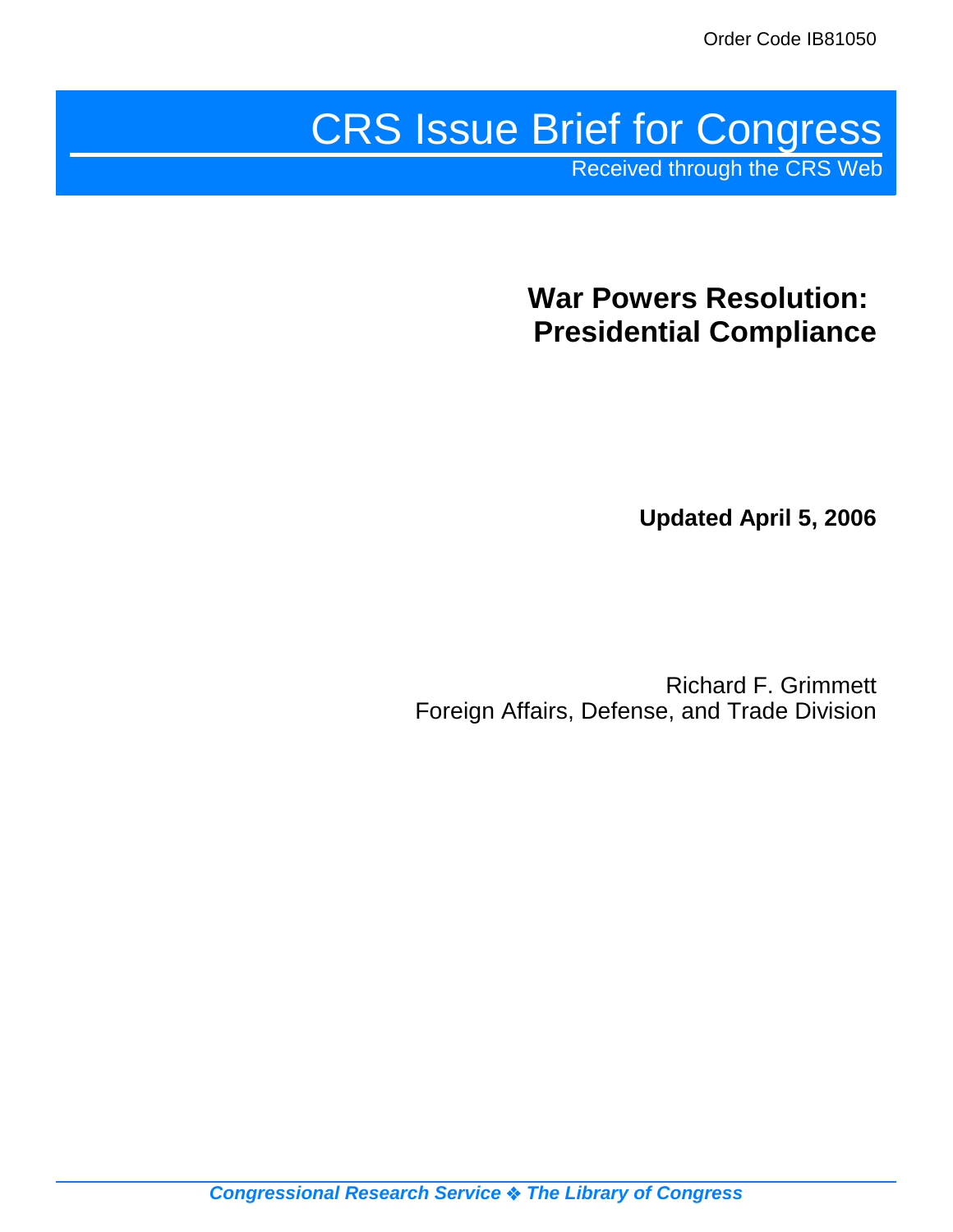# CRS Issue Brief for Congress

Received through the CRS Web

**War Powers Resolution: Presidential Compliance**

**Updated April 5, 2006**

Richard F. Grimmett Foreign Affairs, Defense, and Trade Division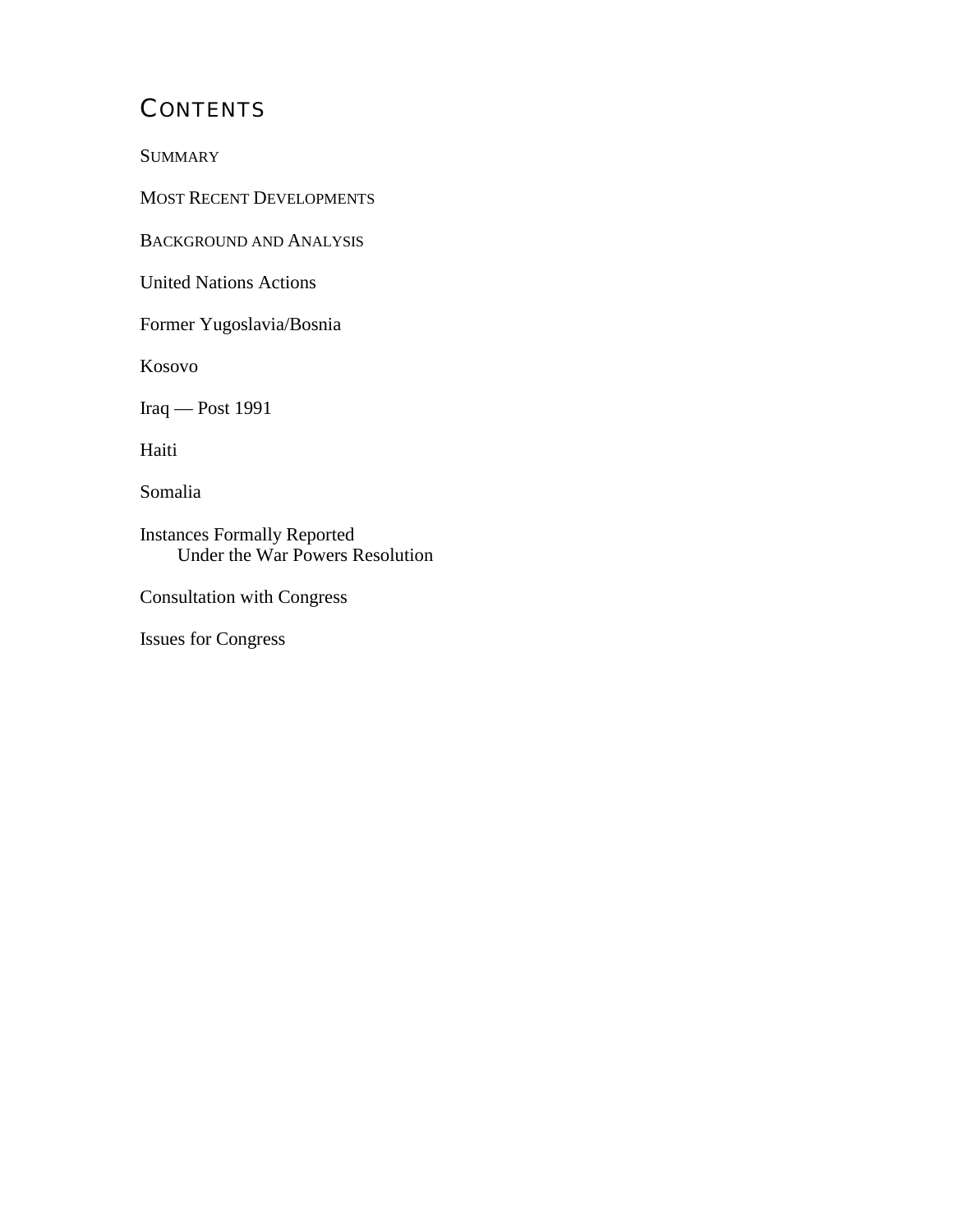# **CONTENTS**

**SUMMARY** 

MOST RECENT DEVELOPMENTS

BACKGROUND AND ANALYSIS

United Nations Actions

Former Yugoslavia/Bosnia

Kosovo

Iraq — Post 1991

Haiti

Somalia

Instances Formally Reported Under the War Powers Resolution

Consultation with Congress

Issues for Congress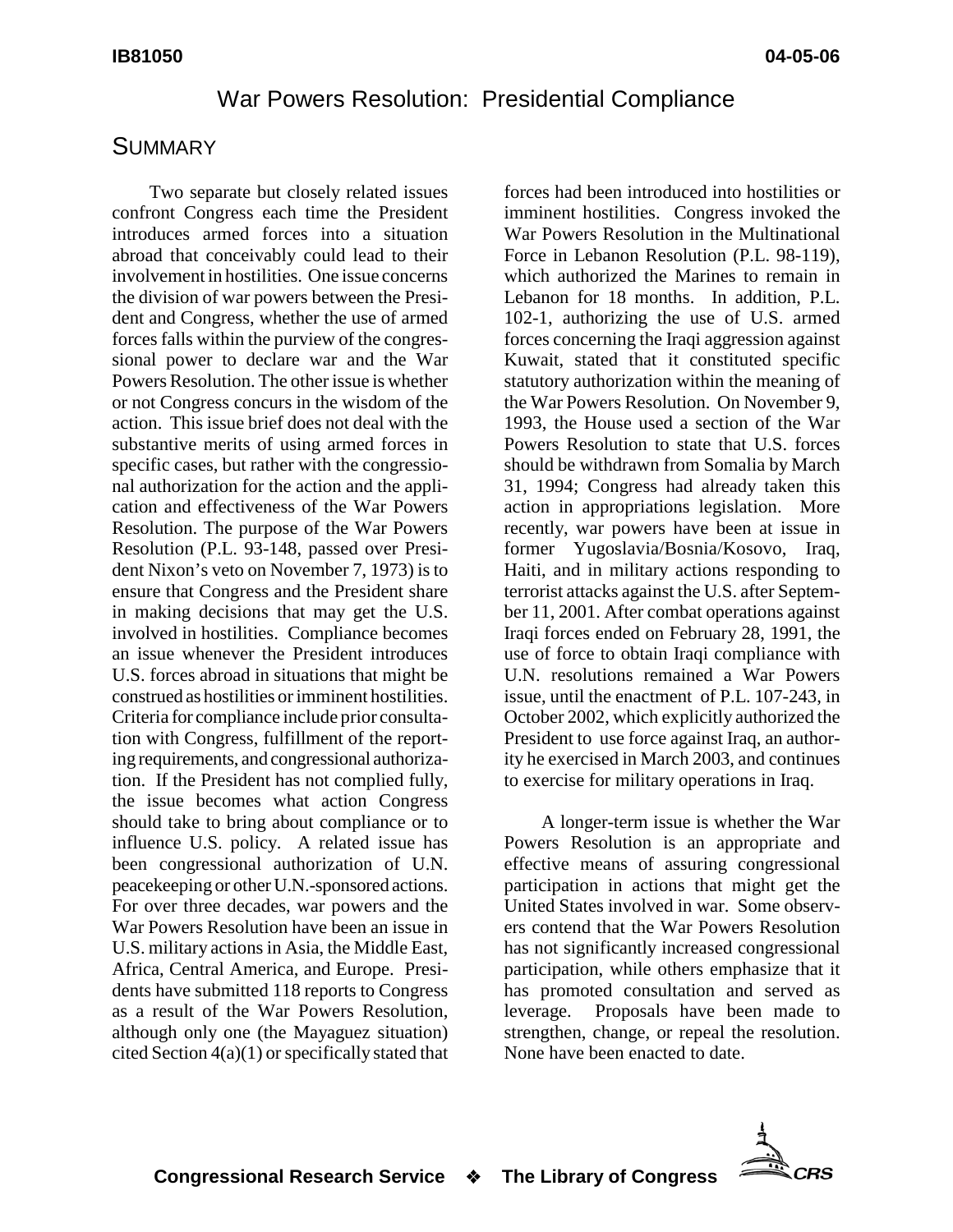#### War Powers Resolution: Presidential Compliance

# **SUMMARY**

Two separate but closely related issues confront Congress each time the President introduces armed forces into a situation abroad that conceivably could lead to their involvement in hostilities. One issue concerns the division of war powers between the President and Congress, whether the use of armed forces falls within the purview of the congressional power to declare war and the War Powers Resolution. The other issue is whether or not Congress concurs in the wisdom of the action. This issue brief does not deal with the substantive merits of using armed forces in specific cases, but rather with the congressional authorization for the action and the application and effectiveness of the War Powers Resolution. The purpose of the War Powers Resolution (P.L. 93-148, passed over President Nixon's veto on November 7, 1973) is to ensure that Congress and the President share in making decisions that may get the U.S. involved in hostilities. Compliance becomes an issue whenever the President introduces U.S. forces abroad in situations that might be construed as hostilities or imminent hostilities. Criteria for compliance include prior consultation with Congress, fulfillment of the reporting requirements, and congressional authorization. If the President has not complied fully, the issue becomes what action Congress should take to bring about compliance or to influence U.S. policy. A related issue has been congressional authorization of U.N. peacekeeping or other U.N.-sponsored actions. For over three decades, war powers and the War Powers Resolution have been an issue in U.S. military actions in Asia, the Middle East, Africa, Central America, and Europe. Presidents have submitted 118 reports to Congress as a result of the War Powers Resolution, although only one (the Mayaguez situation) cited Section 4(a)(1) or specifically stated that

forces had been introduced into hostilities or imminent hostilities. Congress invoked the War Powers Resolution in the Multinational Force in Lebanon Resolution (P.L. 98-119), which authorized the Marines to remain in Lebanon for 18 months. In addition, P.L. 102-1, authorizing the use of U.S. armed forces concerning the Iraqi aggression against Kuwait, stated that it constituted specific statutory authorization within the meaning of the War Powers Resolution. On November 9, 1993, the House used a section of the War Powers Resolution to state that U.S. forces should be withdrawn from Somalia by March 31, 1994; Congress had already taken this action in appropriations legislation. More recently, war powers have been at issue in former Yugoslavia/Bosnia/Kosovo, Iraq, Haiti, and in military actions responding to terrorist attacks against the U.S. after September 11, 2001. After combat operations against Iraqi forces ended on February 28, 1991, the use of force to obtain Iraqi compliance with U.N. resolutions remained a War Powers issue, until the enactment of P.L. 107-243, in October 2002, which explicitly authorized the President to use force against Iraq, an authority he exercised in March 2003, and continues to exercise for military operations in Iraq.

A longer-term issue is whether the War Powers Resolution is an appropriate and effective means of assuring congressional participation in actions that might get the United States involved in war. Some observers contend that the War Powers Resolution has not significantly increased congressional participation, while others emphasize that it has promoted consultation and served as leverage. Proposals have been made to strengthen, change, or repeal the resolution. None have been enacted to date.

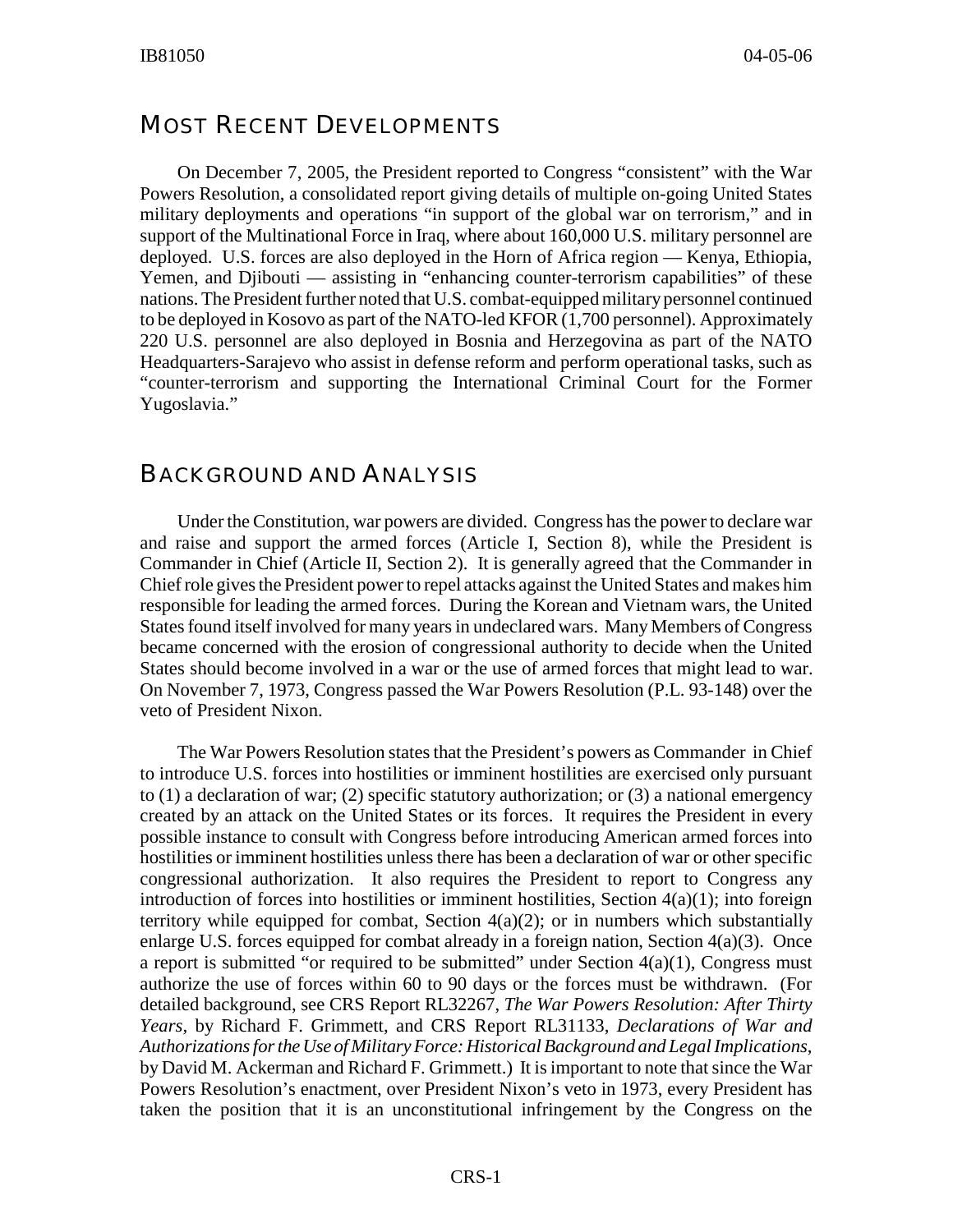#### MOST RECENT DEVELOPMENTS

On December 7, 2005, the President reported to Congress "consistent" with the War Powers Resolution, a consolidated report giving details of multiple on-going United States military deployments and operations "in support of the global war on terrorism," and in support of the Multinational Force in Iraq, where about 160,000 U.S. military personnel are deployed. U.S. forces are also deployed in the Horn of Africa region — Kenya, Ethiopia, Yemen, and Djibouti — assisting in "enhancing counter-terrorism capabilities" of these nations. The President further noted that U.S. combat-equipped military personnel continued to be deployed in Kosovo as part of the NATO-led KFOR (1,700 personnel). Approximately 220 U.S. personnel are also deployed in Bosnia and Herzegovina as part of the NATO Headquarters-Sarajevo who assist in defense reform and perform operational tasks, such as "counter-terrorism and supporting the International Criminal Court for the Former Yugoslavia."

#### BACKGROUND AND ANALYSIS

Under the Constitution, war powers are divided. Congress has the power to declare war and raise and support the armed forces (Article I, Section 8), while the President is Commander in Chief (Article II, Section 2). It is generally agreed that the Commander in Chief role gives the President power to repel attacks against the United States and makes him responsible for leading the armed forces. During the Korean and Vietnam wars, the United States found itself involved for many years in undeclared wars. Many Members of Congress became concerned with the erosion of congressional authority to decide when the United States should become involved in a war or the use of armed forces that might lead to war. On November 7, 1973, Congress passed the War Powers Resolution (P.L. 93-148) over the veto of President Nixon.

The War Powers Resolution states that the President's powers as Commander in Chief to introduce U.S. forces into hostilities or imminent hostilities are exercised only pursuant to (1) a declaration of war; (2) specific statutory authorization; or (3) a national emergency created by an attack on the United States or its forces. It requires the President in every possible instance to consult with Congress before introducing American armed forces into hostilities or imminent hostilities unless there has been a declaration of war or other specific congressional authorization. It also requires the President to report to Congress any introduction of forces into hostilities or imminent hostilities, Section 4(a)(1); into foreign territory while equipped for combat, Section  $4(a)(2)$ ; or in numbers which substantially enlarge U.S. forces equipped for combat already in a foreign nation, Section 4(a)(3). Once a report is submitted "or required to be submitted" under Section  $4(a)(1)$ , Congress must authorize the use of forces within 60 to 90 days or the forces must be withdrawn. (For detailed background, see CRS Report RL32267, *The War Powers Resolution: After Thirty Years,* by Richard F. Grimmett, and CRS Report RL31133, *Declarations of War and Authorizations for the Use of Military Force: Historical Background and Legal Implications*, by David M. Ackerman and Richard F. Grimmett.) It is important to note that since the War Powers Resolution's enactment, over President Nixon's veto in 1973, every President has taken the position that it is an unconstitutional infringement by the Congress on the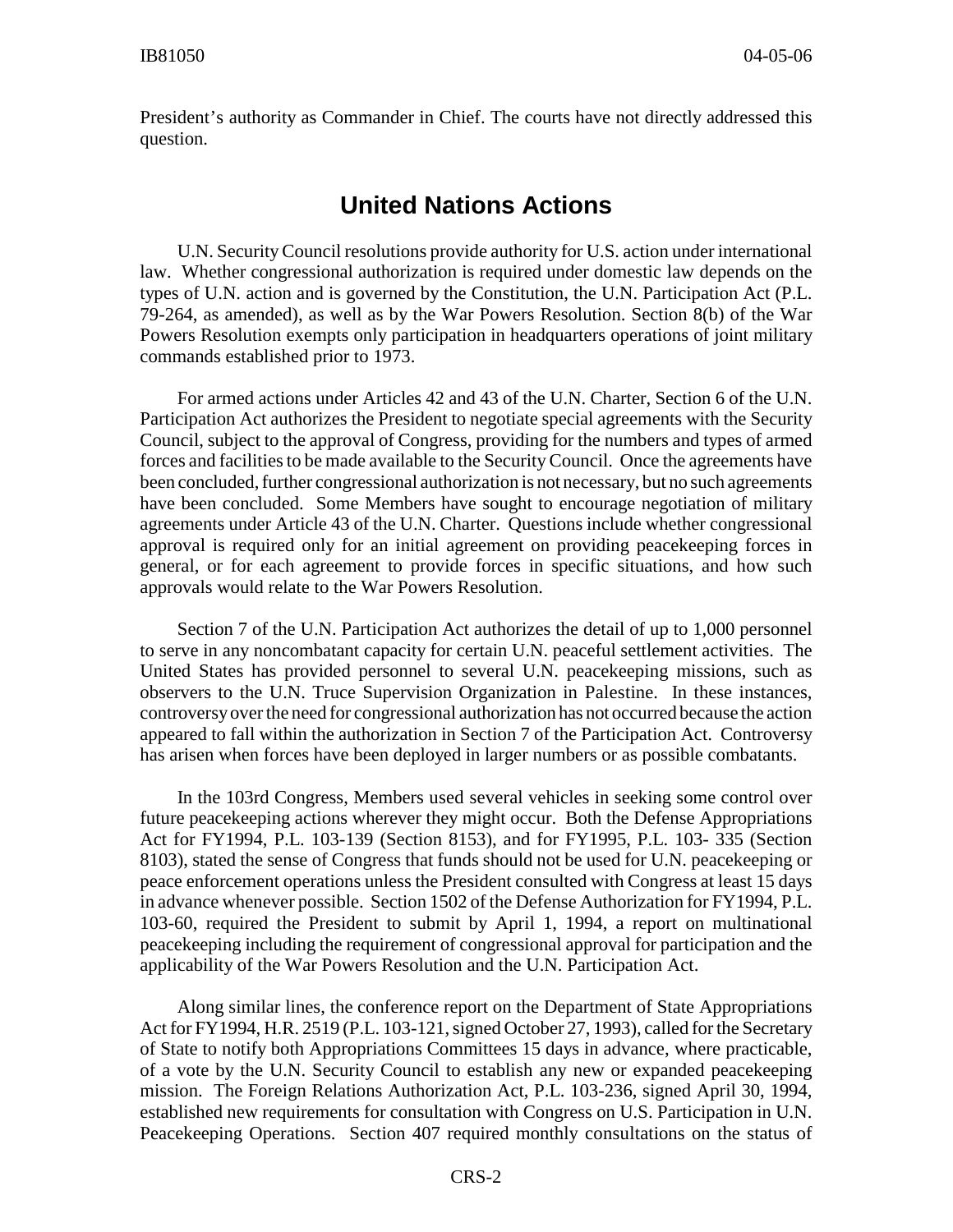President's authority as Commander in Chief. The courts have not directly addressed this question.

# **United Nations Actions**

U.N. Security Council resolutions provide authority for U.S. action under international law. Whether congressional authorization is required under domestic law depends on the types of U.N. action and is governed by the Constitution, the U.N. Participation Act (P.L. 79-264, as amended), as well as by the War Powers Resolution. Section 8(b) of the War Powers Resolution exempts only participation in headquarters operations of joint military commands established prior to 1973.

For armed actions under Articles 42 and 43 of the U.N. Charter, Section 6 of the U.N. Participation Act authorizes the President to negotiate special agreements with the Security Council, subject to the approval of Congress, providing for the numbers and types of armed forces and facilities to be made available to the Security Council. Once the agreements have been concluded, further congressional authorization is not necessary, but no such agreements have been concluded. Some Members have sought to encourage negotiation of military agreements under Article 43 of the U.N. Charter. Questions include whether congressional approval is required only for an initial agreement on providing peacekeeping forces in general, or for each agreement to provide forces in specific situations, and how such approvals would relate to the War Powers Resolution.

Section 7 of the U.N. Participation Act authorizes the detail of up to 1,000 personnel to serve in any noncombatant capacity for certain U.N. peaceful settlement activities. The United States has provided personnel to several U.N. peacekeeping missions, such as observers to the U.N. Truce Supervision Organization in Palestine. In these instances, controversy over the need for congressional authorization has not occurred because the action appeared to fall within the authorization in Section 7 of the Participation Act. Controversy has arisen when forces have been deployed in larger numbers or as possible combatants.

In the 103rd Congress, Members used several vehicles in seeking some control over future peacekeeping actions wherever they might occur. Both the Defense Appropriations Act for FY1994, P.L. 103-139 (Section 8153), and for FY1995, P.L. 103- 335 (Section 8103), stated the sense of Congress that funds should not be used for U.N. peacekeeping or peace enforcement operations unless the President consulted with Congress at least 15 days in advance whenever possible. Section 1502 of the Defense Authorization for FY1994, P.L. 103-60, required the President to submit by April 1, 1994, a report on multinational peacekeeping including the requirement of congressional approval for participation and the applicability of the War Powers Resolution and the U.N. Participation Act.

Along similar lines, the conference report on the Department of State Appropriations Act for FY1994, H.R. 2519 (P.L. 103-121, signed October 27, 1993), called for the Secretary of State to notify both Appropriations Committees 15 days in advance, where practicable, of a vote by the U.N. Security Council to establish any new or expanded peacekeeping mission. The Foreign Relations Authorization Act, P.L. 103-236, signed April 30, 1994, established new requirements for consultation with Congress on U.S. Participation in U.N. Peacekeeping Operations. Section 407 required monthly consultations on the status of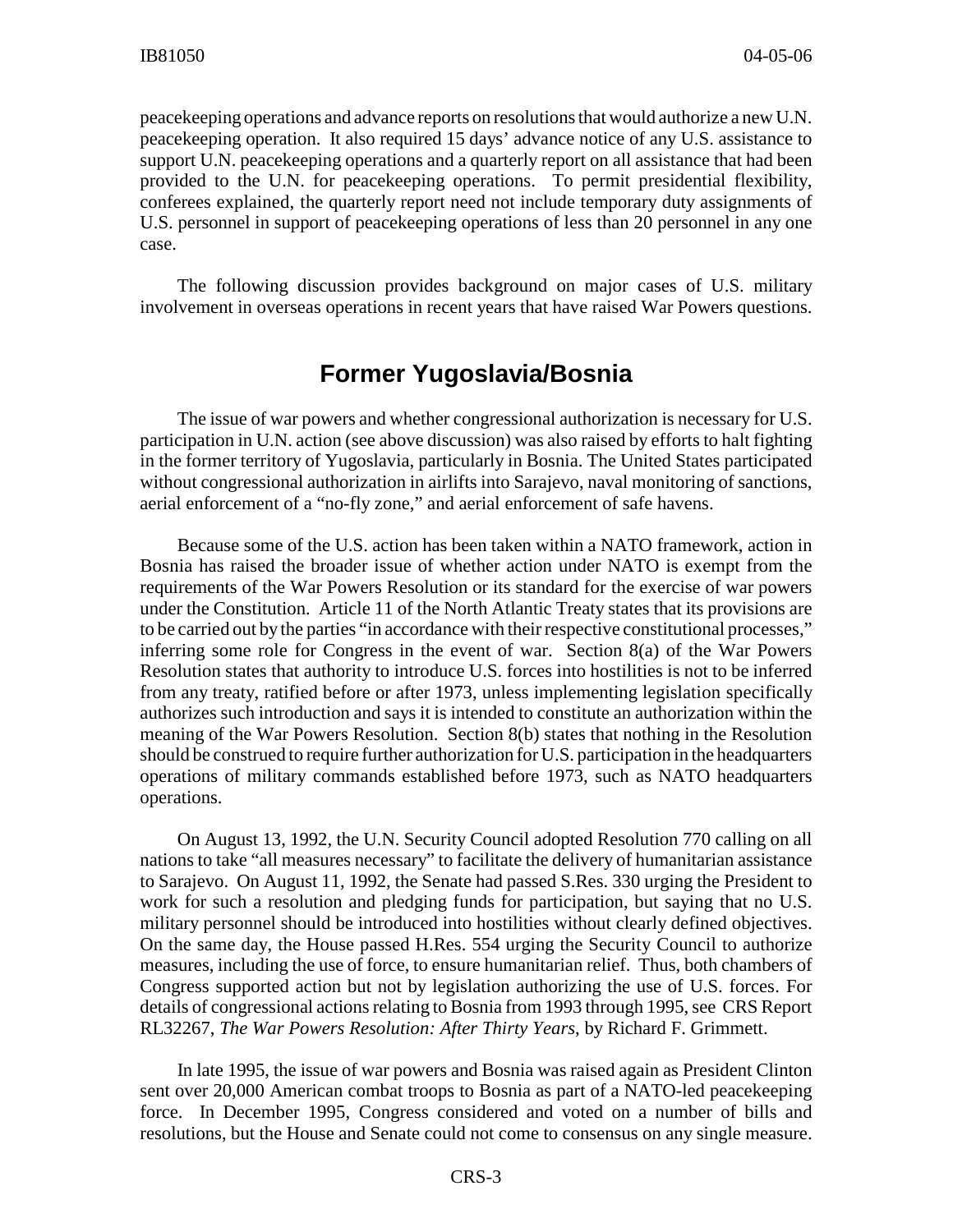peacekeeping operations and advance reports on resolutions that would authorize a new U.N. peacekeeping operation. It also required 15 days' advance notice of any U.S. assistance to support U.N. peacekeeping operations and a quarterly report on all assistance that had been provided to the U.N. for peacekeeping operations. To permit presidential flexibility, conferees explained, the quarterly report need not include temporary duty assignments of U.S. personnel in support of peacekeeping operations of less than 20 personnel in any one case.

The following discussion provides background on major cases of U.S. military involvement in overseas operations in recent years that have raised War Powers questions.

### **Former Yugoslavia/Bosnia**

The issue of war powers and whether congressional authorization is necessary for U.S. participation in U.N. action (see above discussion) was also raised by efforts to halt fighting in the former territory of Yugoslavia, particularly in Bosnia. The United States participated without congressional authorization in airlifts into Sarajevo, naval monitoring of sanctions, aerial enforcement of a "no-fly zone," and aerial enforcement of safe havens.

Because some of the U.S. action has been taken within a NATO framework, action in Bosnia has raised the broader issue of whether action under NATO is exempt from the requirements of the War Powers Resolution or its standard for the exercise of war powers under the Constitution. Article 11 of the North Atlantic Treaty states that its provisions are to be carried out by the parties "in accordance with their respective constitutional processes," inferring some role for Congress in the event of war. Section 8(a) of the War Powers Resolution states that authority to introduce U.S. forces into hostilities is not to be inferred from any treaty, ratified before or after 1973, unless implementing legislation specifically authorizes such introduction and says it is intended to constitute an authorization within the meaning of the War Powers Resolution. Section 8(b) states that nothing in the Resolution should be construed to require further authorization for U.S. participation in the headquarters operations of military commands established before 1973, such as NATO headquarters operations.

On August 13, 1992, the U.N. Security Council adopted Resolution 770 calling on all nations to take "all measures necessary" to facilitate the delivery of humanitarian assistance to Sarajevo. On August 11, 1992, the Senate had passed S.Res. 330 urging the President to work for such a resolution and pledging funds for participation, but saying that no U.S. military personnel should be introduced into hostilities without clearly defined objectives. On the same day, the House passed H.Res. 554 urging the Security Council to authorize measures, including the use of force, to ensure humanitarian relief. Thus, both chambers of Congress supported action but not by legislation authorizing the use of U.S. forces. For details of congressional actions relating to Bosnia from 1993 through 1995, see CRS Report RL32267, *The War Powers Resolution: After Thirty Years*, by Richard F. Grimmett.

In late 1995, the issue of war powers and Bosnia was raised again as President Clinton sent over 20,000 American combat troops to Bosnia as part of a NATO-led peacekeeping force. In December 1995, Congress considered and voted on a number of bills and resolutions, but the House and Senate could not come to consensus on any single measure.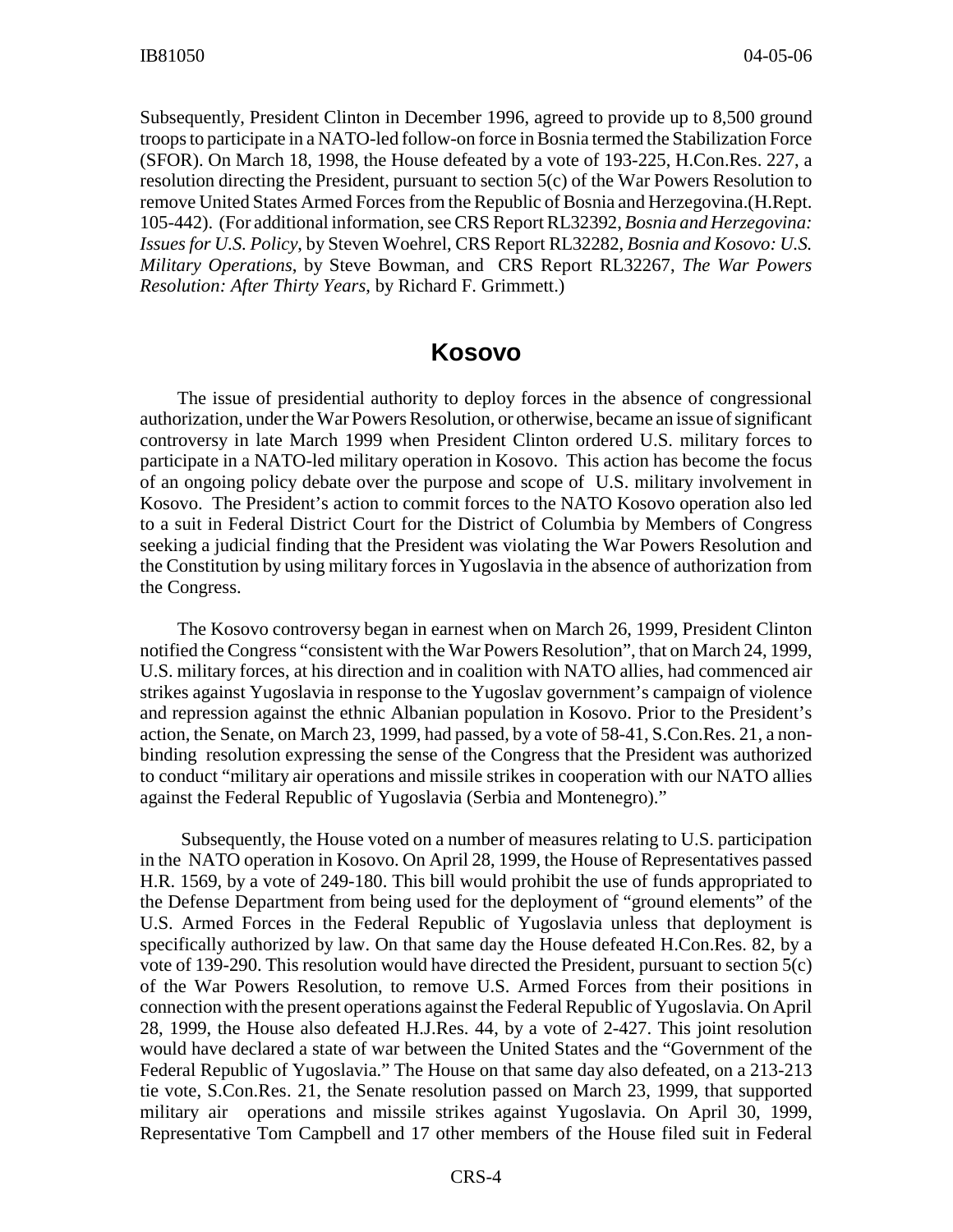Subsequently, President Clinton in December 1996, agreed to provide up to 8,500 ground troops to participate in a NATO-led follow-on force in Bosnia termed the Stabilization Force (SFOR). On March 18, 1998, the House defeated by a vote of 193-225, H.Con.Res. 227, a resolution directing the President, pursuant to section 5(c) of the War Powers Resolution to remove United States Armed Forces from the Republic of Bosnia and Herzegovina.(H.Rept. 105-442). (For additional information, see CRS Report RL32392, *Bosnia and Herzegovina: Issues for U.S. Policy*, by Steven Woehrel, CRS Report RL32282, *Bosnia and Kosovo: U.S. Military Operations*, by Steve Bowman, and CRS Report RL32267, *The War Powers Resolution: After Thirty Years*, by Richard F. Grimmett.)

### **Kosovo**

The issue of presidential authority to deploy forces in the absence of congressional authorization, under the War Powers Resolution, or otherwise, became an issue of significant controversy in late March 1999 when President Clinton ordered U.S. military forces to participate in a NATO-led military operation in Kosovo. This action has become the focus of an ongoing policy debate over the purpose and scope of U.S. military involvement in Kosovo. The President's action to commit forces to the NATO Kosovo operation also led to a suit in Federal District Court for the District of Columbia by Members of Congress seeking a judicial finding that the President was violating the War Powers Resolution and the Constitution by using military forces in Yugoslavia in the absence of authorization from the Congress.

The Kosovo controversy began in earnest when on March 26, 1999, President Clinton notified the Congress "consistent with the War Powers Resolution", that on March 24, 1999, U.S. military forces, at his direction and in coalition with NATO allies, had commenced air strikes against Yugoslavia in response to the Yugoslav government's campaign of violence and repression against the ethnic Albanian population in Kosovo. Prior to the President's action, the Senate, on March 23, 1999, had passed, by a vote of 58-41, S.Con.Res. 21, a nonbinding resolution expressing the sense of the Congress that the President was authorized to conduct "military air operations and missile strikes in cooperation with our NATO allies against the Federal Republic of Yugoslavia (Serbia and Montenegro)."

 Subsequently, the House voted on a number of measures relating to U.S. participation in the NATO operation in Kosovo. On April 28, 1999, the House of Representatives passed H.R. 1569, by a vote of 249-180. This bill would prohibit the use of funds appropriated to the Defense Department from being used for the deployment of "ground elements" of the U.S. Armed Forces in the Federal Republic of Yugoslavia unless that deployment is specifically authorized by law. On that same day the House defeated H.Con.Res. 82, by a vote of 139-290. This resolution would have directed the President, pursuant to section 5(c) of the War Powers Resolution, to remove U.S. Armed Forces from their positions in connection with the present operations against the Federal Republic of Yugoslavia. On April 28, 1999, the House also defeated H.J.Res. 44, by a vote of 2-427. This joint resolution would have declared a state of war between the United States and the "Government of the Federal Republic of Yugoslavia." The House on that same day also defeated, on a 213-213 tie vote, S.Con.Res. 21, the Senate resolution passed on March 23, 1999, that supported military air operations and missile strikes against Yugoslavia. On April 30, 1999, Representative Tom Campbell and 17 other members of the House filed suit in Federal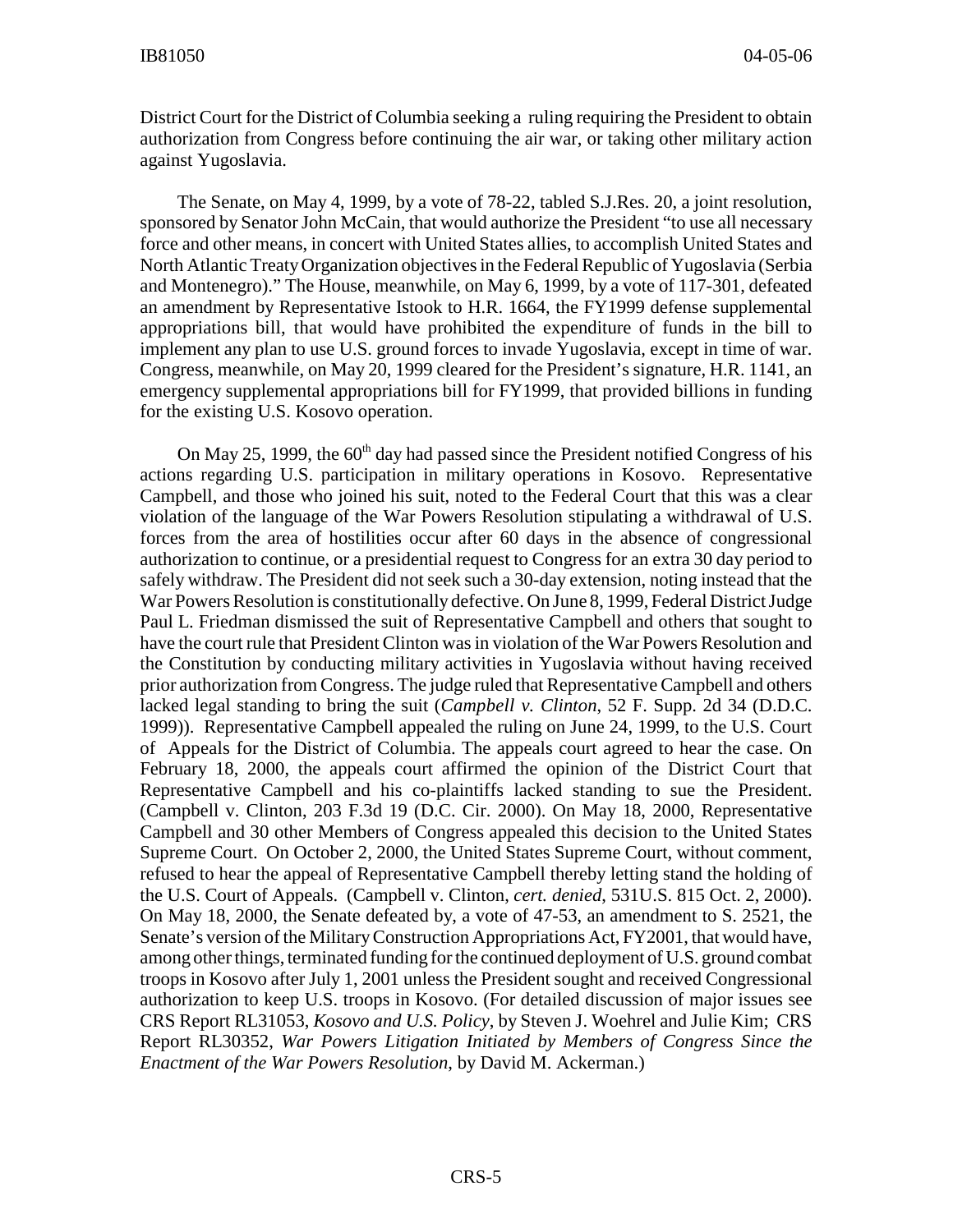District Court for the District of Columbia seeking a ruling requiring the President to obtain authorization from Congress before continuing the air war, or taking other military action against Yugoslavia.

The Senate, on May 4, 1999, by a vote of 78-22, tabled S.J.Res. 20, a joint resolution, sponsored by Senator John McCain, that would authorize the President "to use all necessary force and other means, in concert with United States allies, to accomplish United States and North Atlantic Treaty Organization objectives in the Federal Republic of Yugoslavia (Serbia and Montenegro)." The House, meanwhile, on May 6, 1999, by a vote of 117-301, defeated an amendment by Representative Istook to H.R. 1664, the FY1999 defense supplemental appropriations bill, that would have prohibited the expenditure of funds in the bill to implement any plan to use U.S. ground forces to invade Yugoslavia, except in time of war. Congress, meanwhile, on May 20, 1999 cleared for the President's signature, H.R. 1141, an emergency supplemental appropriations bill for FY1999, that provided billions in funding for the existing U.S. Kosovo operation.

On May 25, 1999, the  $60<sup>th</sup>$  day had passed since the President notified Congress of his actions regarding U.S. participation in military operations in Kosovo. Representative Campbell, and those who joined his suit, noted to the Federal Court that this was a clear violation of the language of the War Powers Resolution stipulating a withdrawal of U.S. forces from the area of hostilities occur after 60 days in the absence of congressional authorization to continue, or a presidential request to Congress for an extra 30 day period to safely withdraw. The President did not seek such a 30-day extension, noting instead that the War Powers Resolution is constitutionally defective. On June 8, 1999, Federal District Judge Paul L. Friedman dismissed the suit of Representative Campbell and others that sought to have the court rule that President Clinton was in violation of the War Powers Resolution and the Constitution by conducting military activities in Yugoslavia without having received prior authorization from Congress. The judge ruled that Representative Campbell and others lacked legal standing to bring the suit (*Campbell v. Clinton*, 52 F. Supp. 2d 34 (D.D.C. 1999)). Representative Campbell appealed the ruling on June 24, 1999, to the U.S. Court of Appeals for the District of Columbia. The appeals court agreed to hear the case. On February 18, 2000, the appeals court affirmed the opinion of the District Court that Representative Campbell and his co-plaintiffs lacked standing to sue the President. (Campbell v. Clinton, 203 F.3d 19 (D.C. Cir. 2000). On May 18, 2000, Representative Campbell and 30 other Members of Congress appealed this decision to the United States Supreme Court. On October 2, 2000, the United States Supreme Court, without comment, refused to hear the appeal of Representative Campbell thereby letting stand the holding of the U.S. Court of Appeals. (Campbell v. Clinton, *cert. denied*, 531U.S. 815 Oct. 2, 2000). On May 18, 2000, the Senate defeated by, a vote of 47-53, an amendment to S. 2521, the Senate's version of the Military Construction Appropriations Act, FY2001, that would have, among other things, terminated funding for the continued deployment of U.S. ground combat troops in Kosovo after July 1, 2001 unless the President sought and received Congressional authorization to keep U.S. troops in Kosovo. (For detailed discussion of major issues see CRS Report RL31053, *Kosovo and U.S. Policy*, by Steven J. Woehrel and Julie Kim; CRS Report RL30352, *War Powers Litigation Initiated by Members of Congress Since the Enactment of the War Powers Resolution*, by David M. Ackerman.)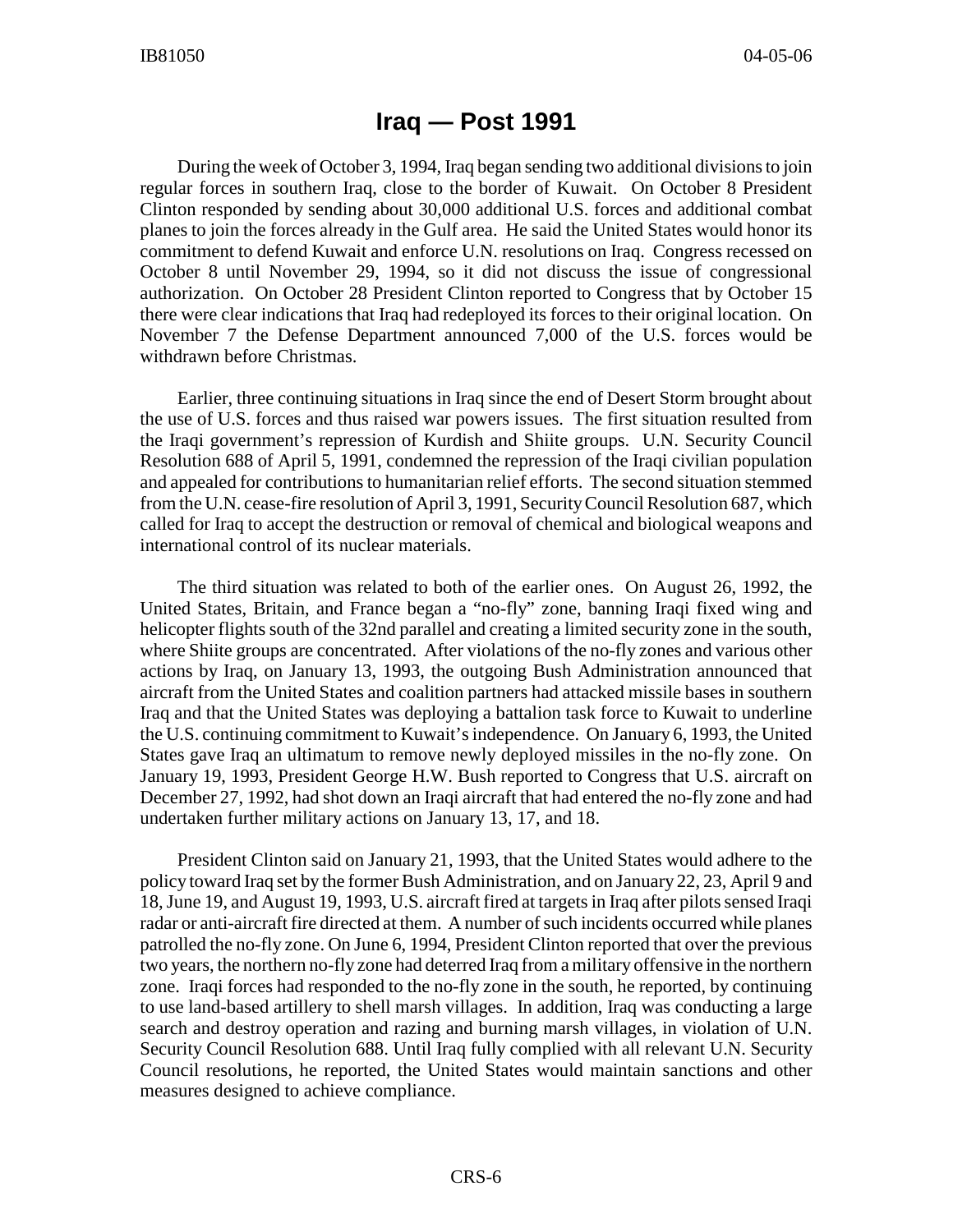#### **Iraq — Post 1991**

During the week of October 3, 1994, Iraq began sending two additional divisions to join regular forces in southern Iraq, close to the border of Kuwait. On October 8 President Clinton responded by sending about 30,000 additional U.S. forces and additional combat planes to join the forces already in the Gulf area. He said the United States would honor its commitment to defend Kuwait and enforce U.N. resolutions on Iraq. Congress recessed on October 8 until November 29, 1994, so it did not discuss the issue of congressional authorization. On October 28 President Clinton reported to Congress that by October 15 there were clear indications that Iraq had redeployed its forces to their original location. On November 7 the Defense Department announced 7,000 of the U.S. forces would be withdrawn before Christmas.

Earlier, three continuing situations in Iraq since the end of Desert Storm brought about the use of U.S. forces and thus raised war powers issues. The first situation resulted from the Iraqi government's repression of Kurdish and Shiite groups. U.N. Security Council Resolution 688 of April 5, 1991, condemned the repression of the Iraqi civilian population and appealed for contributions to humanitarian relief efforts. The second situation stemmed from the U.N. cease-fire resolution of April 3, 1991, Security Council Resolution 687, which called for Iraq to accept the destruction or removal of chemical and biological weapons and international control of its nuclear materials.

The third situation was related to both of the earlier ones. On August 26, 1992, the United States, Britain, and France began a "no-fly" zone, banning Iraqi fixed wing and helicopter flights south of the 32nd parallel and creating a limited security zone in the south, where Shiite groups are concentrated. After violations of the no-fly zones and various other actions by Iraq, on January 13, 1993, the outgoing Bush Administration announced that aircraft from the United States and coalition partners had attacked missile bases in southern Iraq and that the United States was deploying a battalion task force to Kuwait to underline the U.S. continuing commitment to Kuwait's independence. On January 6, 1993, the United States gave Iraq an ultimatum to remove newly deployed missiles in the no-fly zone. On January 19, 1993, President George H.W. Bush reported to Congress that U.S. aircraft on December 27, 1992, had shot down an Iraqi aircraft that had entered the no-fly zone and had undertaken further military actions on January 13, 17, and 18.

President Clinton said on January 21, 1993, that the United States would adhere to the policy toward Iraq set by the former Bush Administration, and on January 22, 23, April 9 and 18, June 19, and August 19, 1993, U.S. aircraft fired at targets in Iraq after pilots sensed Iraqi radar or anti-aircraft fire directed at them. A number of such incidents occurred while planes patrolled the no-fly zone. On June 6, 1994, President Clinton reported that over the previous two years, the northern no-fly zone had deterred Iraq from a military offensive in the northern zone. Iraqi forces had responded to the no-fly zone in the south, he reported, by continuing to use land-based artillery to shell marsh villages. In addition, Iraq was conducting a large search and destroy operation and razing and burning marsh villages, in violation of U.N. Security Council Resolution 688. Until Iraq fully complied with all relevant U.N. Security Council resolutions, he reported, the United States would maintain sanctions and other measures designed to achieve compliance.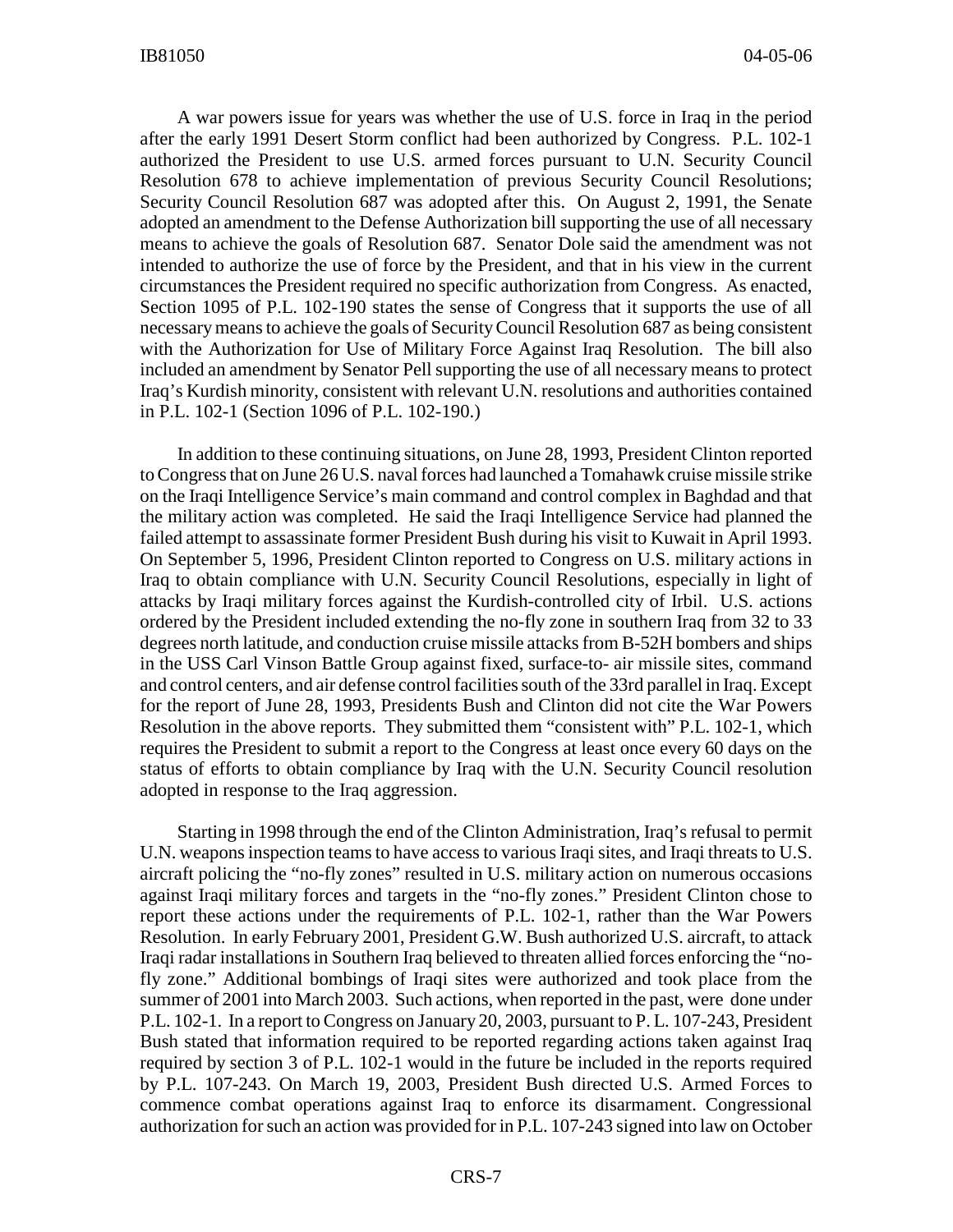A war powers issue for years was whether the use of U.S. force in Iraq in the period after the early 1991 Desert Storm conflict had been authorized by Congress. P.L. 102-1 authorized the President to use U.S. armed forces pursuant to U.N. Security Council Resolution 678 to achieve implementation of previous Security Council Resolutions; Security Council Resolution 687 was adopted after this. On August 2, 1991, the Senate adopted an amendment to the Defense Authorization bill supporting the use of all necessary means to achieve the goals of Resolution 687. Senator Dole said the amendment was not intended to authorize the use of force by the President, and that in his view in the current circumstances the President required no specific authorization from Congress. As enacted, Section 1095 of P.L. 102-190 states the sense of Congress that it supports the use of all necessary means to achieve the goals of Security Council Resolution 687 as being consistent with the Authorization for Use of Military Force Against Iraq Resolution. The bill also included an amendment by Senator Pell supporting the use of all necessary means to protect Iraq's Kurdish minority, consistent with relevant U.N. resolutions and authorities contained in P.L. 102-1 (Section 1096 of P.L. 102-190.)

In addition to these continuing situations, on June 28, 1993, President Clinton reported to Congress that on June 26 U.S. naval forces had launched a Tomahawk cruise missile strike on the Iraqi Intelligence Service's main command and control complex in Baghdad and that the military action was completed. He said the Iraqi Intelligence Service had planned the failed attempt to assassinate former President Bush during his visit to Kuwait in April 1993. On September 5, 1996, President Clinton reported to Congress on U.S. military actions in Iraq to obtain compliance with U.N. Security Council Resolutions, especially in light of attacks by Iraqi military forces against the Kurdish-controlled city of Irbil. U.S. actions ordered by the President included extending the no-fly zone in southern Iraq from 32 to 33 degrees north latitude, and conduction cruise missile attacks from B-52H bombers and ships in the USS Carl Vinson Battle Group against fixed, surface-to- air missile sites, command and control centers, and air defense control facilities south of the 33rd parallel in Iraq. Except for the report of June 28, 1993, Presidents Bush and Clinton did not cite the War Powers Resolution in the above reports. They submitted them "consistent with" P.L. 102-1, which requires the President to submit a report to the Congress at least once every 60 days on the status of efforts to obtain compliance by Iraq with the U.N. Security Council resolution adopted in response to the Iraq aggression.

Starting in 1998 through the end of the Clinton Administration, Iraq's refusal to permit U.N. weapons inspection teams to have access to various Iraqi sites, and Iraqi threats to U.S. aircraft policing the "no-fly zones" resulted in U.S. military action on numerous occasions against Iraqi military forces and targets in the "no-fly zones." President Clinton chose to report these actions under the requirements of P.L. 102-1, rather than the War Powers Resolution. In early February 2001, President G.W. Bush authorized U.S. aircraft, to attack Iraqi radar installations in Southern Iraq believed to threaten allied forces enforcing the "nofly zone." Additional bombings of Iraqi sites were authorized and took place from the summer of 2001 into March 2003. Such actions, when reported in the past, were done under P.L. 102-1. In a report to Congress on January 20, 2003, pursuant to P. L. 107-243, President Bush stated that information required to be reported regarding actions taken against Iraq required by section 3 of P.L. 102-1 would in the future be included in the reports required by P.L. 107-243. On March 19, 2003, President Bush directed U.S. Armed Forces to commence combat operations against Iraq to enforce its disarmament. Congressional authorization for such an action was provided for in P.L. 107-243 signed into law on October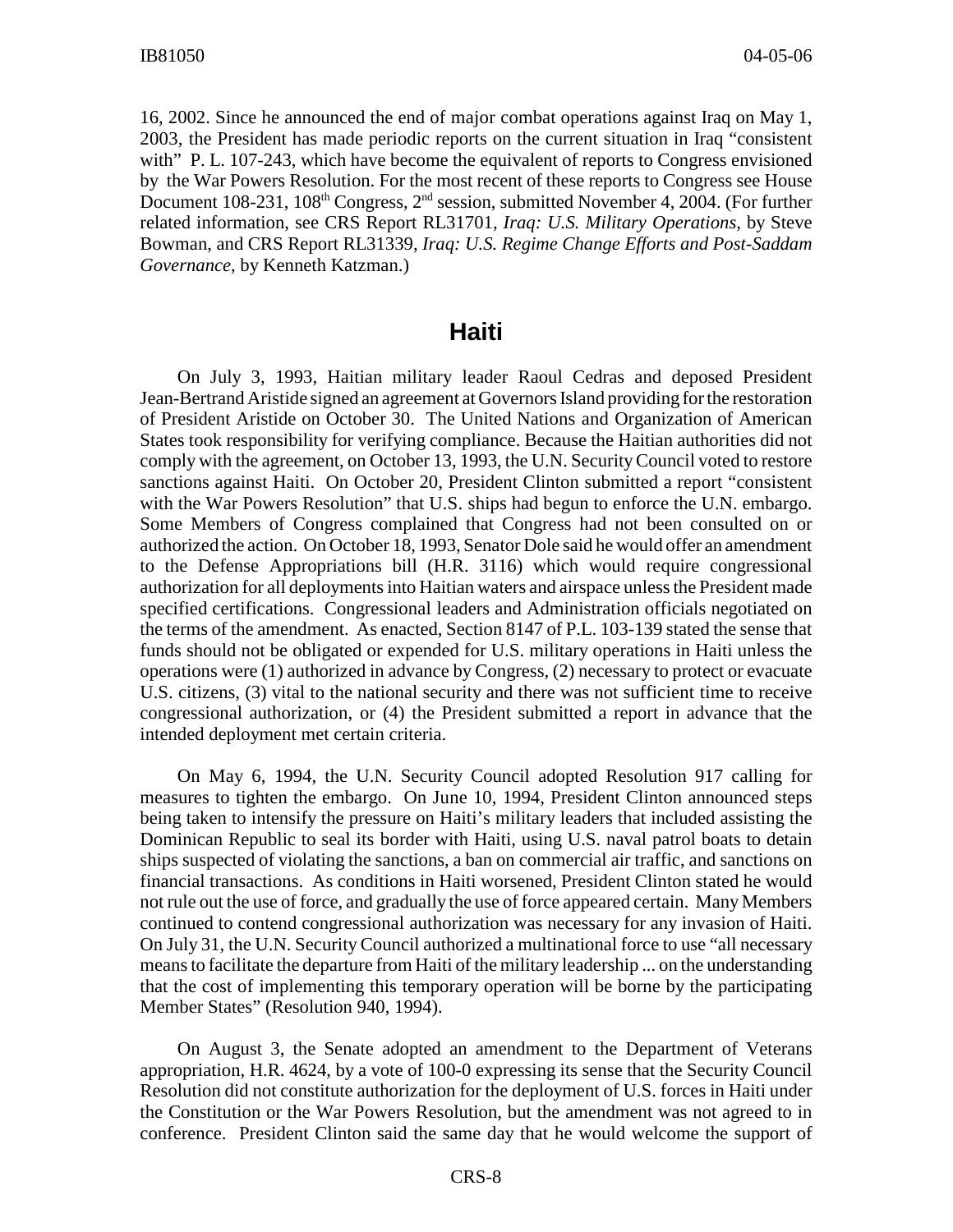16, 2002. Since he announced the end of major combat operations against Iraq on May 1, 2003, the President has made periodic reports on the current situation in Iraq "consistent with" P. L. 107-243, which have become the equivalent of reports to Congress envisioned by the War Powers Resolution. For the most recent of these reports to Congress see House Document 108-231, 108<sup>th</sup> Congress,  $2<sup>nd</sup>$  session, submitted November 4, 2004. (For further related information, see CRS Report RL31701, *Iraq: U.S. Military Operations*, by Steve Bowman, and CRS Report RL31339, *Iraq: U.S. Regime Change Efforts and Post-Saddam Governance*, by Kenneth Katzman.)

#### **Haiti**

On July 3, 1993, Haitian military leader Raoul Cedras and deposed President Jean-Bertrand Aristide signed an agreement at Governors Island providing for the restoration of President Aristide on October 30. The United Nations and Organization of American States took responsibility for verifying compliance. Because the Haitian authorities did not comply with the agreement, on October 13, 1993, the U.N. Security Council voted to restore sanctions against Haiti. On October 20, President Clinton submitted a report "consistent with the War Powers Resolution" that U.S. ships had begun to enforce the U.N. embargo. Some Members of Congress complained that Congress had not been consulted on or authorized the action. On October 18, 1993, Senator Dole said he would offer an amendment to the Defense Appropriations bill (H.R. 3116) which would require congressional authorization for all deployments into Haitian waters and airspace unless the President made specified certifications. Congressional leaders and Administration officials negotiated on the terms of the amendment. As enacted, Section 8147 of P.L. 103-139 stated the sense that funds should not be obligated or expended for U.S. military operations in Haiti unless the operations were (1) authorized in advance by Congress, (2) necessary to protect or evacuate U.S. citizens, (3) vital to the national security and there was not sufficient time to receive congressional authorization, or (4) the President submitted a report in advance that the intended deployment met certain criteria.

On May 6, 1994, the U.N. Security Council adopted Resolution 917 calling for measures to tighten the embargo. On June 10, 1994, President Clinton announced steps being taken to intensify the pressure on Haiti's military leaders that included assisting the Dominican Republic to seal its border with Haiti, using U.S. naval patrol boats to detain ships suspected of violating the sanctions, a ban on commercial air traffic, and sanctions on financial transactions. As conditions in Haiti worsened, President Clinton stated he would not rule out the use of force, and gradually the use of force appeared certain. Many Members continued to contend congressional authorization was necessary for any invasion of Haiti. On July 31, the U.N. Security Council authorized a multinational force to use "all necessary means to facilitate the departure from Haiti of the military leadership ... on the understanding that the cost of implementing this temporary operation will be borne by the participating Member States" (Resolution 940, 1994).

On August 3, the Senate adopted an amendment to the Department of Veterans appropriation, H.R. 4624, by a vote of 100-0 expressing its sense that the Security Council Resolution did not constitute authorization for the deployment of U.S. forces in Haiti under the Constitution or the War Powers Resolution, but the amendment was not agreed to in conference. President Clinton said the same day that he would welcome the support of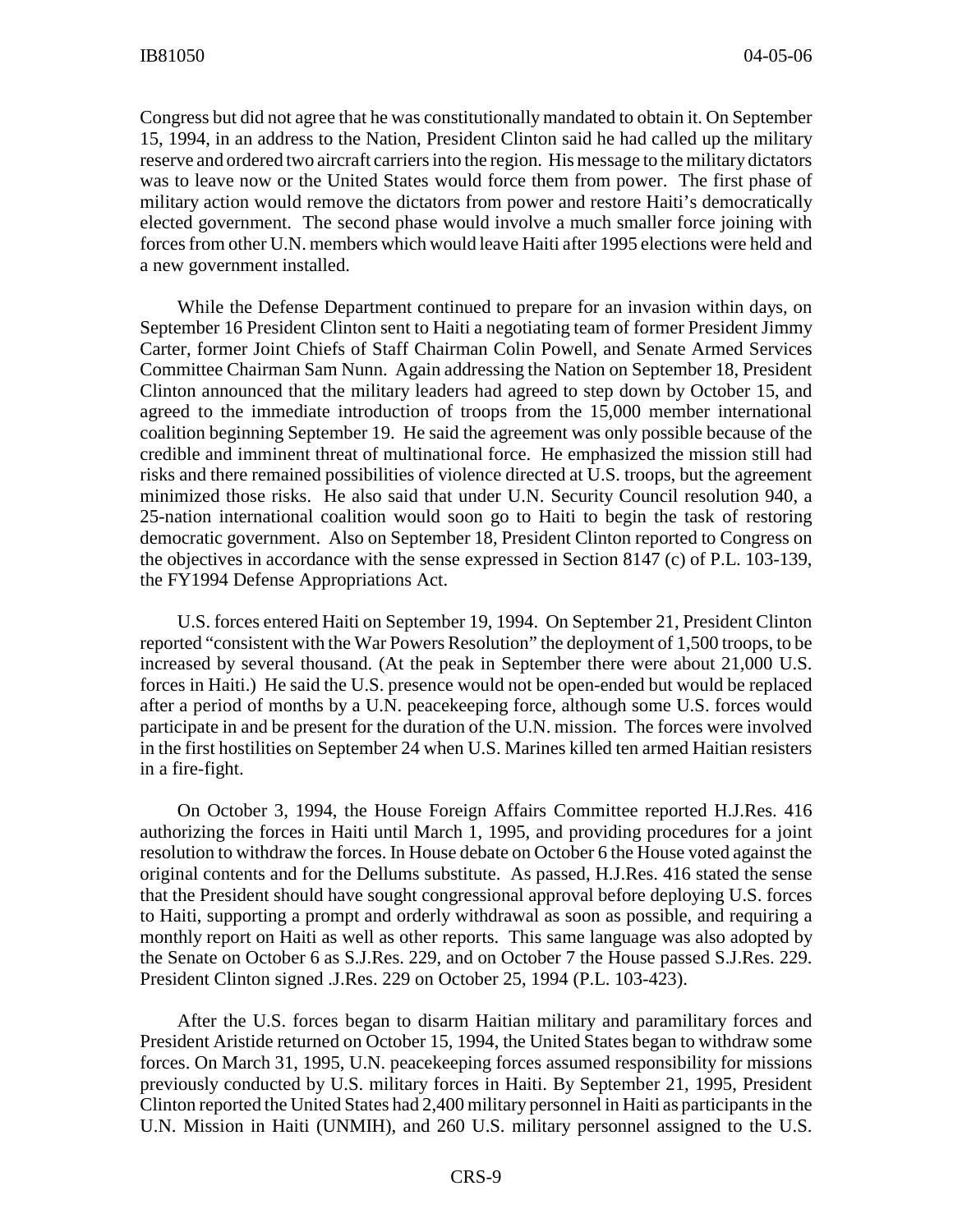Congress but did not agree that he was constitutionally mandated to obtain it. On September 15, 1994, in an address to the Nation, President Clinton said he had called up the military reserve and ordered two aircraft carriers into the region. His message to the military dictators was to leave now or the United States would force them from power. The first phase of military action would remove the dictators from power and restore Haiti's democratically elected government. The second phase would involve a much smaller force joining with forces from other U.N. members which would leave Haiti after 1995 elections were held and a new government installed.

While the Defense Department continued to prepare for an invasion within days, on September 16 President Clinton sent to Haiti a negotiating team of former President Jimmy Carter, former Joint Chiefs of Staff Chairman Colin Powell, and Senate Armed Services Committee Chairman Sam Nunn. Again addressing the Nation on September 18, President Clinton announced that the military leaders had agreed to step down by October 15, and agreed to the immediate introduction of troops from the 15,000 member international coalition beginning September 19. He said the agreement was only possible because of the credible and imminent threat of multinational force. He emphasized the mission still had risks and there remained possibilities of violence directed at U.S. troops, but the agreement minimized those risks. He also said that under U.N. Security Council resolution 940, a 25-nation international coalition would soon go to Haiti to begin the task of restoring democratic government. Also on September 18, President Clinton reported to Congress on the objectives in accordance with the sense expressed in Section 8147 (c) of P.L. 103-139, the FY1994 Defense Appropriations Act.

U.S. forces entered Haiti on September 19, 1994. On September 21, President Clinton reported "consistent with the War Powers Resolution" the deployment of 1,500 troops, to be increased by several thousand. (At the peak in September there were about 21,000 U.S. forces in Haiti.) He said the U.S. presence would not be open-ended but would be replaced after a period of months by a U.N. peacekeeping force, although some U.S. forces would participate in and be present for the duration of the U.N. mission. The forces were involved in the first hostilities on September 24 when U.S. Marines killed ten armed Haitian resisters in a fire-fight.

On October 3, 1994, the House Foreign Affairs Committee reported H.J.Res. 416 authorizing the forces in Haiti until March 1, 1995, and providing procedures for a joint resolution to withdraw the forces. In House debate on October 6 the House voted against the original contents and for the Dellums substitute. As passed, H.J.Res. 416 stated the sense that the President should have sought congressional approval before deploying U.S. forces to Haiti, supporting a prompt and orderly withdrawal as soon as possible, and requiring a monthly report on Haiti as well as other reports. This same language was also adopted by the Senate on October 6 as S.J.Res. 229, and on October 7 the House passed S.J.Res. 229. President Clinton signed .J.Res. 229 on October 25, 1994 (P.L. 103-423).

After the U.S. forces began to disarm Haitian military and paramilitary forces and President Aristide returned on October 15, 1994, the United States began to withdraw some forces. On March 31, 1995, U.N. peacekeeping forces assumed responsibility for missions previously conducted by U.S. military forces in Haiti. By September 21, 1995, President Clinton reported the United States had 2,400 military personnel in Haiti as participants in the U.N. Mission in Haiti (UNMIH), and 260 U.S. military personnel assigned to the U.S.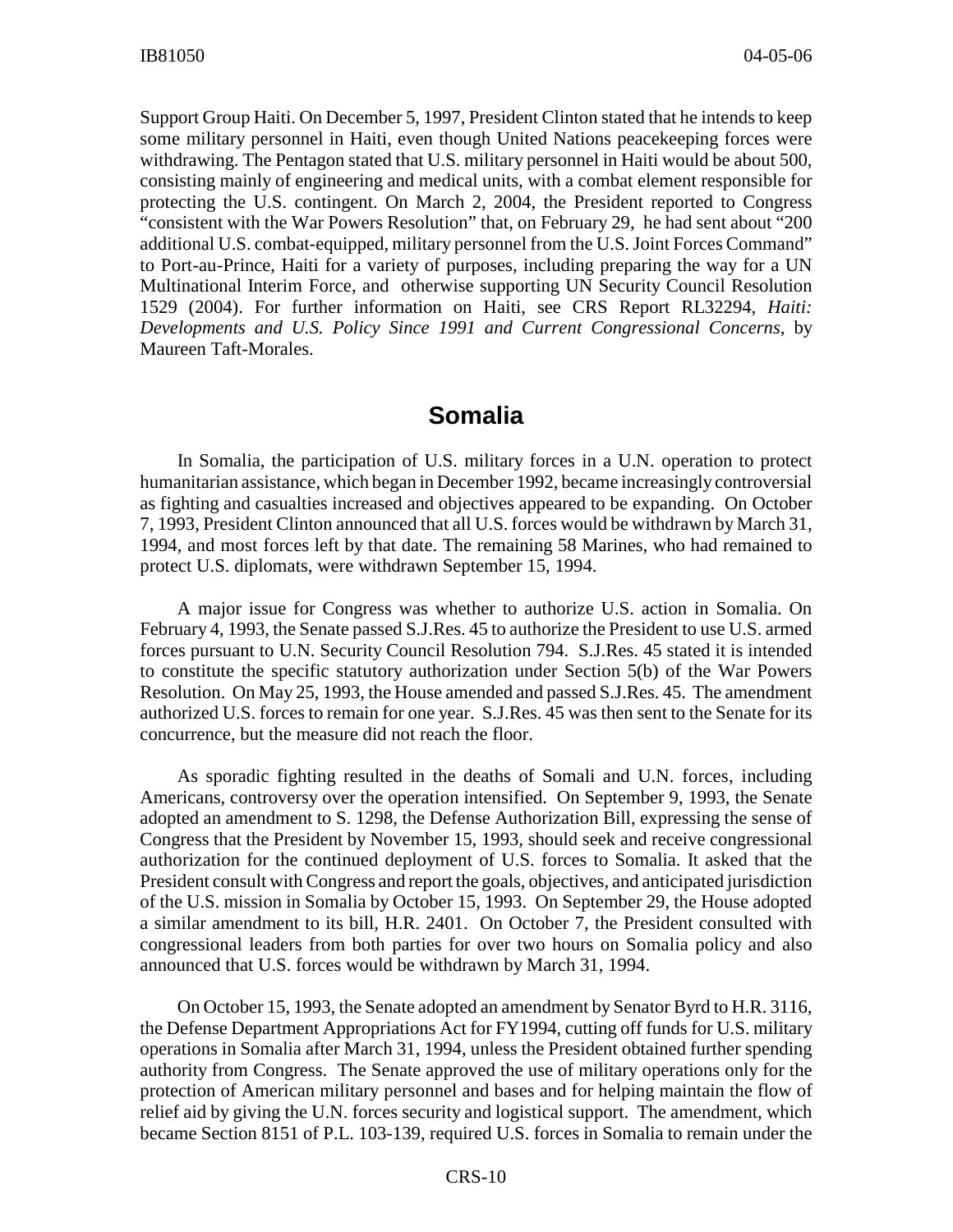Support Group Haiti. On December 5, 1997, President Clinton stated that he intends to keep some military personnel in Haiti, even though United Nations peacekeeping forces were withdrawing. The Pentagon stated that U.S. military personnel in Haiti would be about 500, consisting mainly of engineering and medical units, with a combat element responsible for protecting the U.S. contingent. On March 2, 2004, the President reported to Congress "consistent with the War Powers Resolution" that, on February 29, he had sent about "200 additional U.S. combat-equipped, military personnel from the U.S. Joint Forces Command" to Port-au-Prince, Haiti for a variety of purposes, including preparing the way for a UN Multinational Interim Force, and otherwise supporting UN Security Council Resolution 1529 (2004). For further information on Haiti, see CRS Report RL32294, *Haiti: Developments and U.S. Policy Since 1991 and Current Congressional Concerns*, by Maureen Taft-Morales.

# **Somalia**

In Somalia, the participation of U.S. military forces in a U.N. operation to protect humanitarian assistance, which began in December 1992, became increasingly controversial as fighting and casualties increased and objectives appeared to be expanding. On October 7, 1993, President Clinton announced that all U.S. forces would be withdrawn by March 31, 1994, and most forces left by that date. The remaining 58 Marines, who had remained to protect U.S. diplomats, were withdrawn September 15, 1994.

A major issue for Congress was whether to authorize U.S. action in Somalia. On February 4, 1993, the Senate passed S.J.Res. 45 to authorize the President to use U.S. armed forces pursuant to U.N. Security Council Resolution 794. S.J.Res. 45 stated it is intended to constitute the specific statutory authorization under Section 5(b) of the War Powers Resolution. On May 25, 1993, the House amended and passed S.J.Res. 45. The amendment authorized U.S. forces to remain for one year. S.J.Res. 45 was then sent to the Senate for its concurrence, but the measure did not reach the floor.

As sporadic fighting resulted in the deaths of Somali and U.N. forces, including Americans, controversy over the operation intensified. On September 9, 1993, the Senate adopted an amendment to S. 1298, the Defense Authorization Bill, expressing the sense of Congress that the President by November 15, 1993, should seek and receive congressional authorization for the continued deployment of U.S. forces to Somalia. It asked that the President consult with Congress and report the goals, objectives, and anticipated jurisdiction of the U.S. mission in Somalia by October 15, 1993. On September 29, the House adopted a similar amendment to its bill, H.R. 2401. On October 7, the President consulted with congressional leaders from both parties for over two hours on Somalia policy and also announced that U.S. forces would be withdrawn by March 31, 1994.

On October 15, 1993, the Senate adopted an amendment by Senator Byrd to H.R. 3116, the Defense Department Appropriations Act for FY1994, cutting off funds for U.S. military operations in Somalia after March 31, 1994, unless the President obtained further spending authority from Congress. The Senate approved the use of military operations only for the protection of American military personnel and bases and for helping maintain the flow of relief aid by giving the U.N. forces security and logistical support. The amendment, which became Section 8151 of P.L. 103-139, required U.S. forces in Somalia to remain under the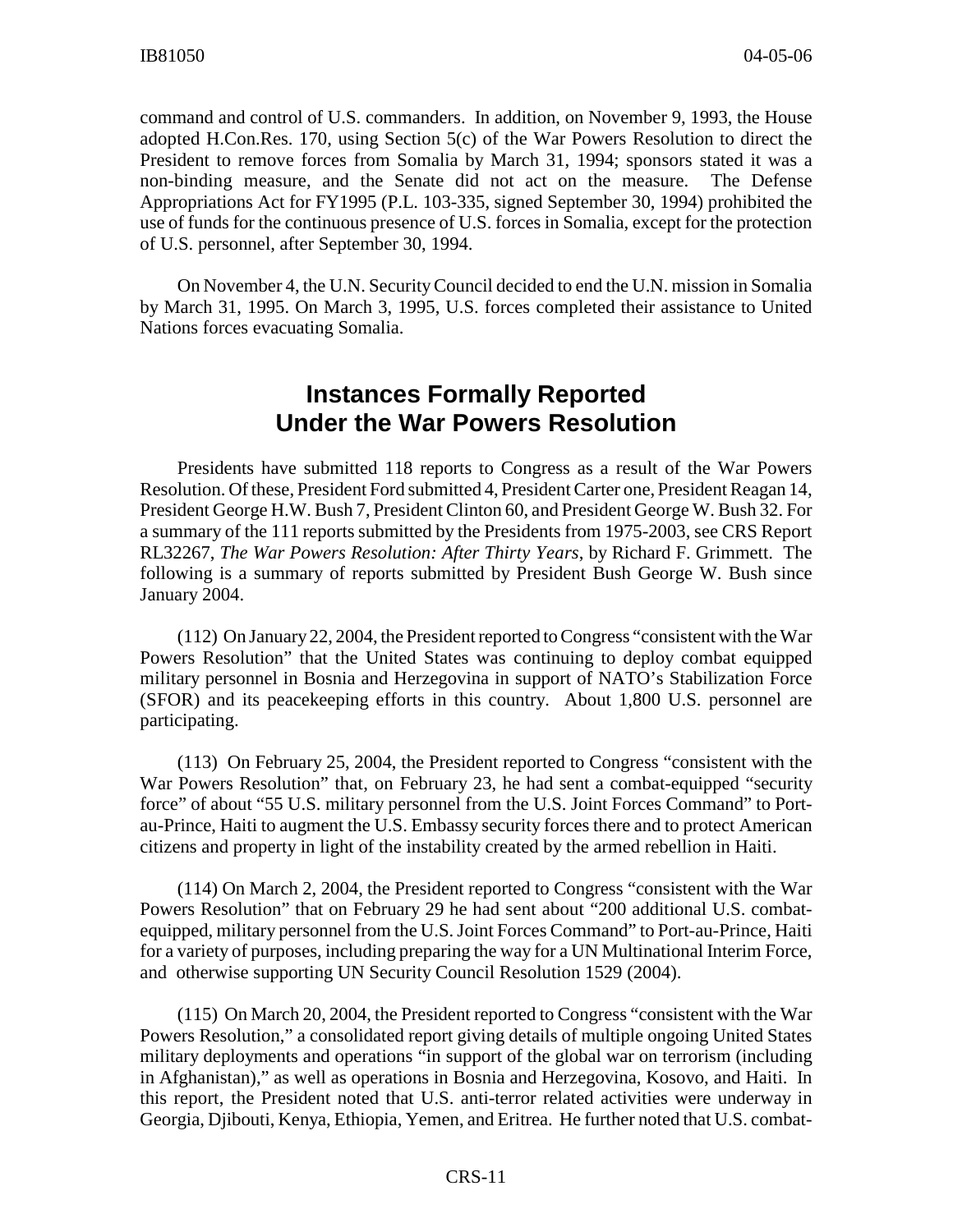command and control of U.S. commanders. In addition, on November 9, 1993, the House adopted H.Con.Res. 170, using Section 5(c) of the War Powers Resolution to direct the President to remove forces from Somalia by March 31, 1994; sponsors stated it was a non-binding measure, and the Senate did not act on the measure. The Defense Appropriations Act for FY1995 (P.L. 103-335, signed September 30, 1994) prohibited the use of funds for the continuous presence of U.S. forces in Somalia, except for the protection of U.S. personnel, after September 30, 1994.

On November 4, the U.N. Security Council decided to end the U.N. mission in Somalia by March 31, 1995. On March 3, 1995, U.S. forces completed their assistance to United Nations forces evacuating Somalia.

# **Instances Formally Reported Under the War Powers Resolution**

Presidents have submitted 118 reports to Congress as a result of the War Powers Resolution. Of these, President Ford submitted 4, President Carter one, President Reagan 14, President George H.W. Bush 7, President Clinton 60, and President George W. Bush 32. For a summary of the 111 reports submitted by the Presidents from 1975-2003, see CRS Report RL32267, *The War Powers Resolution: After Thirty Years*, by Richard F. Grimmett. The following is a summary of reports submitted by President Bush George W. Bush since January 2004.

(112) On January 22, 2004, the President reported to Congress "consistent with the War Powers Resolution" that the United States was continuing to deploy combat equipped military personnel in Bosnia and Herzegovina in support of NATO's Stabilization Force (SFOR) and its peacekeeping efforts in this country. About 1,800 U.S. personnel are participating.

(113) On February 25, 2004, the President reported to Congress "consistent with the War Powers Resolution" that, on February 23, he had sent a combat-equipped "security force" of about "55 U.S. military personnel from the U.S. Joint Forces Command" to Portau-Prince, Haiti to augment the U.S. Embassy security forces there and to protect American citizens and property in light of the instability created by the armed rebellion in Haiti.

(114) On March 2, 2004, the President reported to Congress "consistent with the War Powers Resolution" that on February 29 he had sent about "200 additional U.S. combatequipped, military personnel from the U.S. Joint Forces Command" to Port-au-Prince, Haiti for a variety of purposes, including preparing the way for a UN Multinational Interim Force, and otherwise supporting UN Security Council Resolution 1529 (2004).

(115) On March 20, 2004, the President reported to Congress "consistent with the War Powers Resolution," a consolidated report giving details of multiple ongoing United States military deployments and operations "in support of the global war on terrorism (including in Afghanistan)," as well as operations in Bosnia and Herzegovina, Kosovo, and Haiti. In this report, the President noted that U.S. anti-terror related activities were underway in Georgia, Djibouti, Kenya, Ethiopia, Yemen, and Eritrea. He further noted that U.S. combat-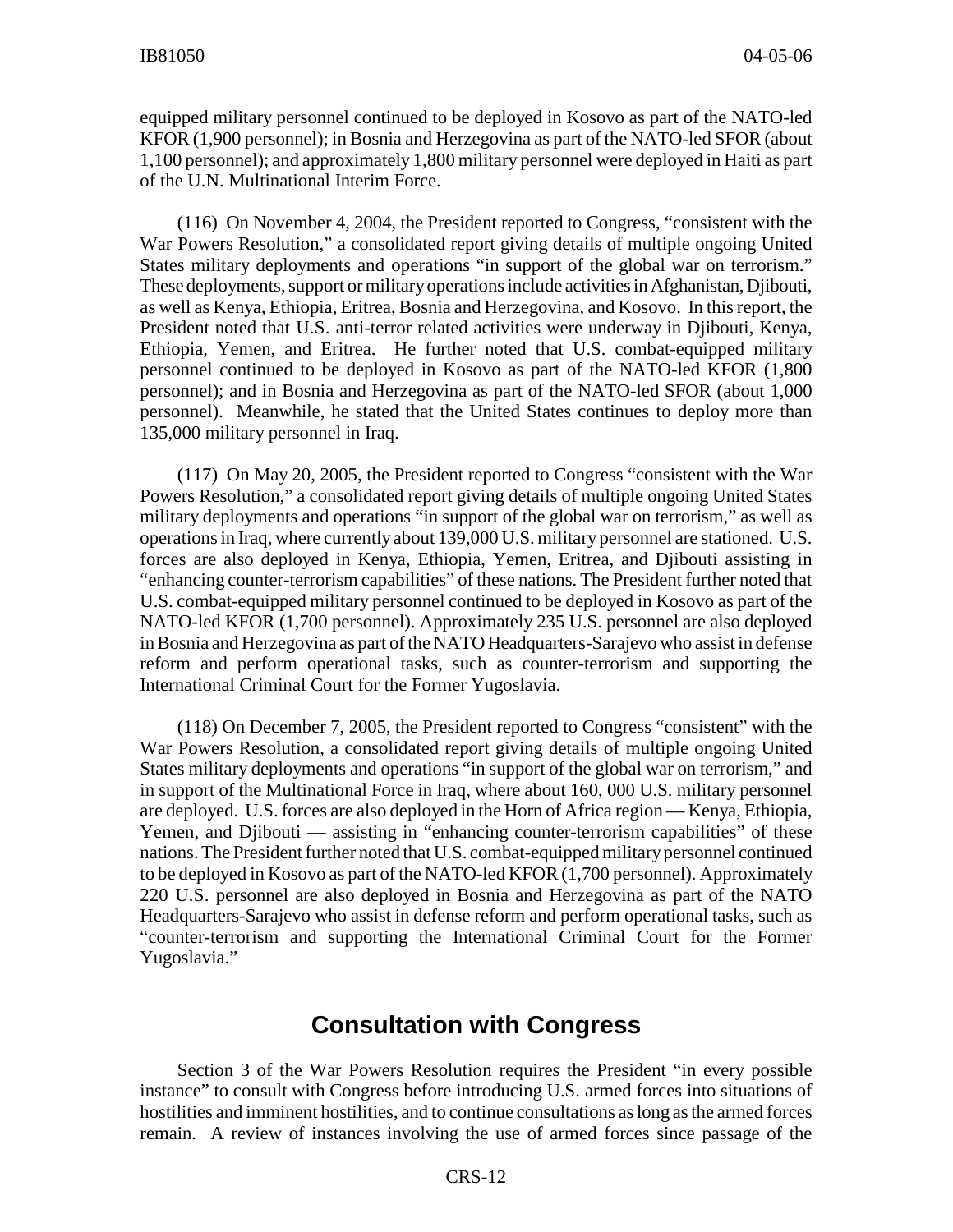equipped military personnel continued to be deployed in Kosovo as part of the NATO-led KFOR (1,900 personnel); in Bosnia and Herzegovina as part of the NATO-led SFOR (about 1,100 personnel); and approximately 1,800 military personnel were deployed in Haiti as part of the U.N. Multinational Interim Force.

(116) On November 4, 2004, the President reported to Congress, "consistent with the War Powers Resolution," a consolidated report giving details of multiple ongoing United States military deployments and operations "in support of the global war on terrorism." These deployments, support or military operations include activities in Afghanistan, Djibouti, as well as Kenya, Ethiopia, Eritrea, Bosnia and Herzegovina, and Kosovo. In this report, the President noted that U.S. anti-terror related activities were underway in Djibouti, Kenya, Ethiopia, Yemen, and Eritrea. He further noted that U.S. combat-equipped military personnel continued to be deployed in Kosovo as part of the NATO-led KFOR (1,800 personnel); and in Bosnia and Herzegovina as part of the NATO-led SFOR (about 1,000 personnel). Meanwhile, he stated that the United States continues to deploy more than 135,000 military personnel in Iraq.

(117) On May 20, 2005, the President reported to Congress "consistent with the War Powers Resolution," a consolidated report giving details of multiple ongoing United States military deployments and operations "in support of the global war on terrorism," as well as operations in Iraq, where currently about 139,000 U.S. military personnel are stationed. U.S. forces are also deployed in Kenya, Ethiopia, Yemen, Eritrea, and Djibouti assisting in "enhancing counter-terrorism capabilities" of these nations. The President further noted that U.S. combat-equipped military personnel continued to be deployed in Kosovo as part of the NATO-led KFOR (1,700 personnel). Approximately 235 U.S. personnel are also deployed in Bosnia and Herzegovina as part of the NATO Headquarters-Sarajevo who assist in defense reform and perform operational tasks, such as counter-terrorism and supporting the International Criminal Court for the Former Yugoslavia.

(118) On December 7, 2005, the President reported to Congress "consistent" with the War Powers Resolution, a consolidated report giving details of multiple ongoing United States military deployments and operations "in support of the global war on terrorism," and in support of the Multinational Force in Iraq, where about 160, 000 U.S. military personnel are deployed. U.S. forces are also deployed in the Horn of Africa region — Kenya, Ethiopia, Yemen, and Djibouti — assisting in "enhancing counter-terrorism capabilities" of these nations. The President further noted that U.S. combat-equipped military personnel continued to be deployed in Kosovo as part of the NATO-led KFOR (1,700 personnel). Approximately 220 U.S. personnel are also deployed in Bosnia and Herzegovina as part of the NATO Headquarters-Sarajevo who assist in defense reform and perform operational tasks, such as "counter-terrorism and supporting the International Criminal Court for the Former Yugoslavia."

# **Consultation with Congress**

Section 3 of the War Powers Resolution requires the President "in every possible instance" to consult with Congress before introducing U.S. armed forces into situations of hostilities and imminent hostilities, and to continue consultations as long as the armed forces remain. A review of instances involving the use of armed forces since passage of the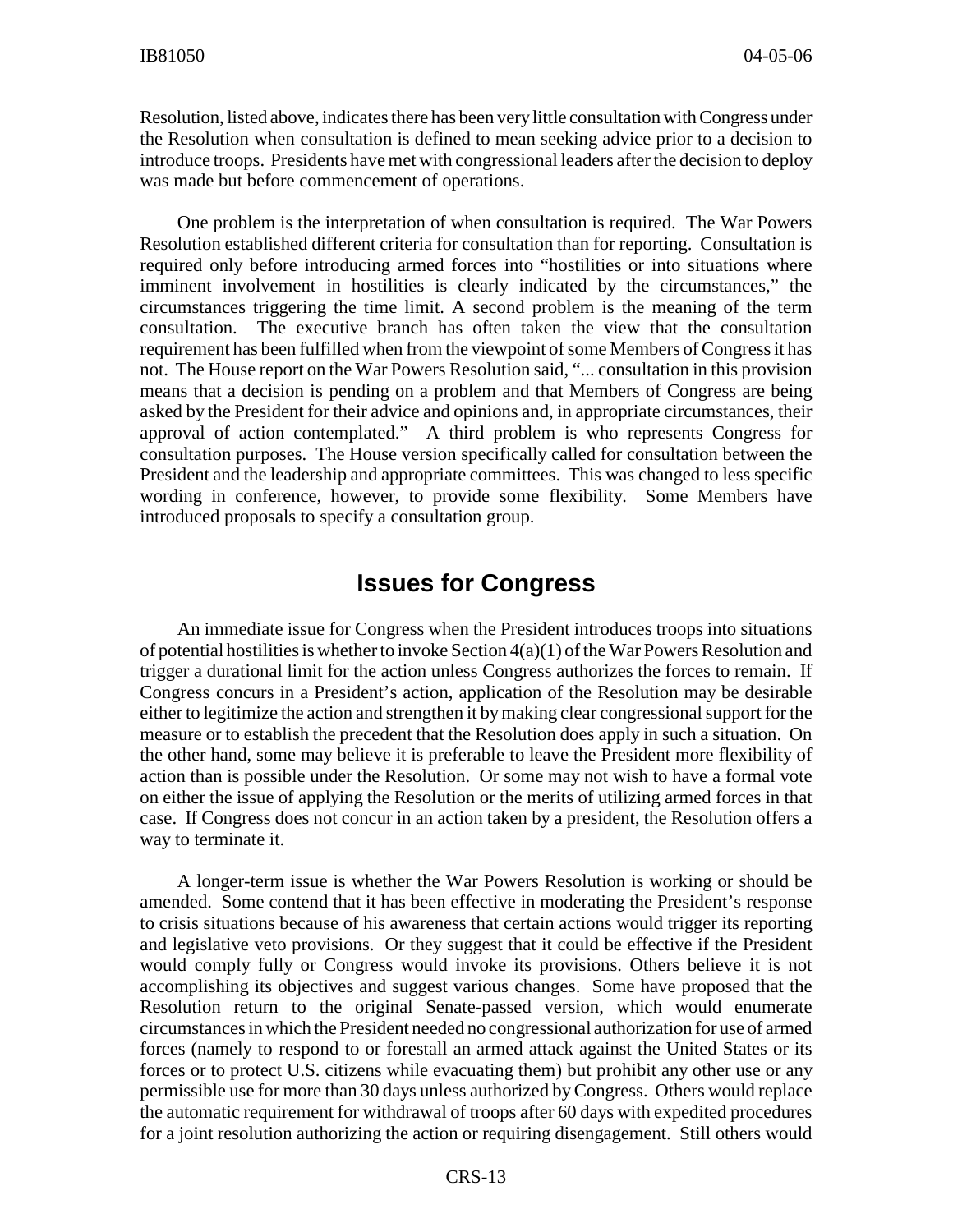Resolution, listed above, indicates there has been very little consultation with Congress under the Resolution when consultation is defined to mean seeking advice prior to a decision to introduce troops. Presidents have met with congressional leaders after the decision to deploy was made but before commencement of operations.

One problem is the interpretation of when consultation is required. The War Powers Resolution established different criteria for consultation than for reporting. Consultation is required only before introducing armed forces into "hostilities or into situations where imminent involvement in hostilities is clearly indicated by the circumstances," the circumstances triggering the time limit. A second problem is the meaning of the term consultation. The executive branch has often taken the view that the consultation requirement has been fulfilled when from the viewpoint of some Members of Congress it has not. The House report on the War Powers Resolution said, "... consultation in this provision means that a decision is pending on a problem and that Members of Congress are being asked by the President for their advice and opinions and, in appropriate circumstances, their approval of action contemplated." A third problem is who represents Congress for consultation purposes. The House version specifically called for consultation between the President and the leadership and appropriate committees. This was changed to less specific wording in conference, however, to provide some flexibility. Some Members have introduced proposals to specify a consultation group.

## **Issues for Congress**

An immediate issue for Congress when the President introduces troops into situations of potential hostilities is whether to invoke Section  $4(a)(1)$  of the War Powers Resolution and trigger a durational limit for the action unless Congress authorizes the forces to remain. If Congress concurs in a President's action, application of the Resolution may be desirable either to legitimize the action and strengthen it by making clear congressional support for the measure or to establish the precedent that the Resolution does apply in such a situation. On the other hand, some may believe it is preferable to leave the President more flexibility of action than is possible under the Resolution. Or some may not wish to have a formal vote on either the issue of applying the Resolution or the merits of utilizing armed forces in that case. If Congress does not concur in an action taken by a president, the Resolution offers a way to terminate it.

A longer-term issue is whether the War Powers Resolution is working or should be amended. Some contend that it has been effective in moderating the President's response to crisis situations because of his awareness that certain actions would trigger its reporting and legislative veto provisions. Or they suggest that it could be effective if the President would comply fully or Congress would invoke its provisions. Others believe it is not accomplishing its objectives and suggest various changes. Some have proposed that the Resolution return to the original Senate-passed version, which would enumerate circumstances in which the President needed no congressional authorization for use of armed forces (namely to respond to or forestall an armed attack against the United States or its forces or to protect U.S. citizens while evacuating them) but prohibit any other use or any permissible use for more than 30 days unless authorized by Congress. Others would replace the automatic requirement for withdrawal of troops after 60 days with expedited procedures for a joint resolution authorizing the action or requiring disengagement. Still others would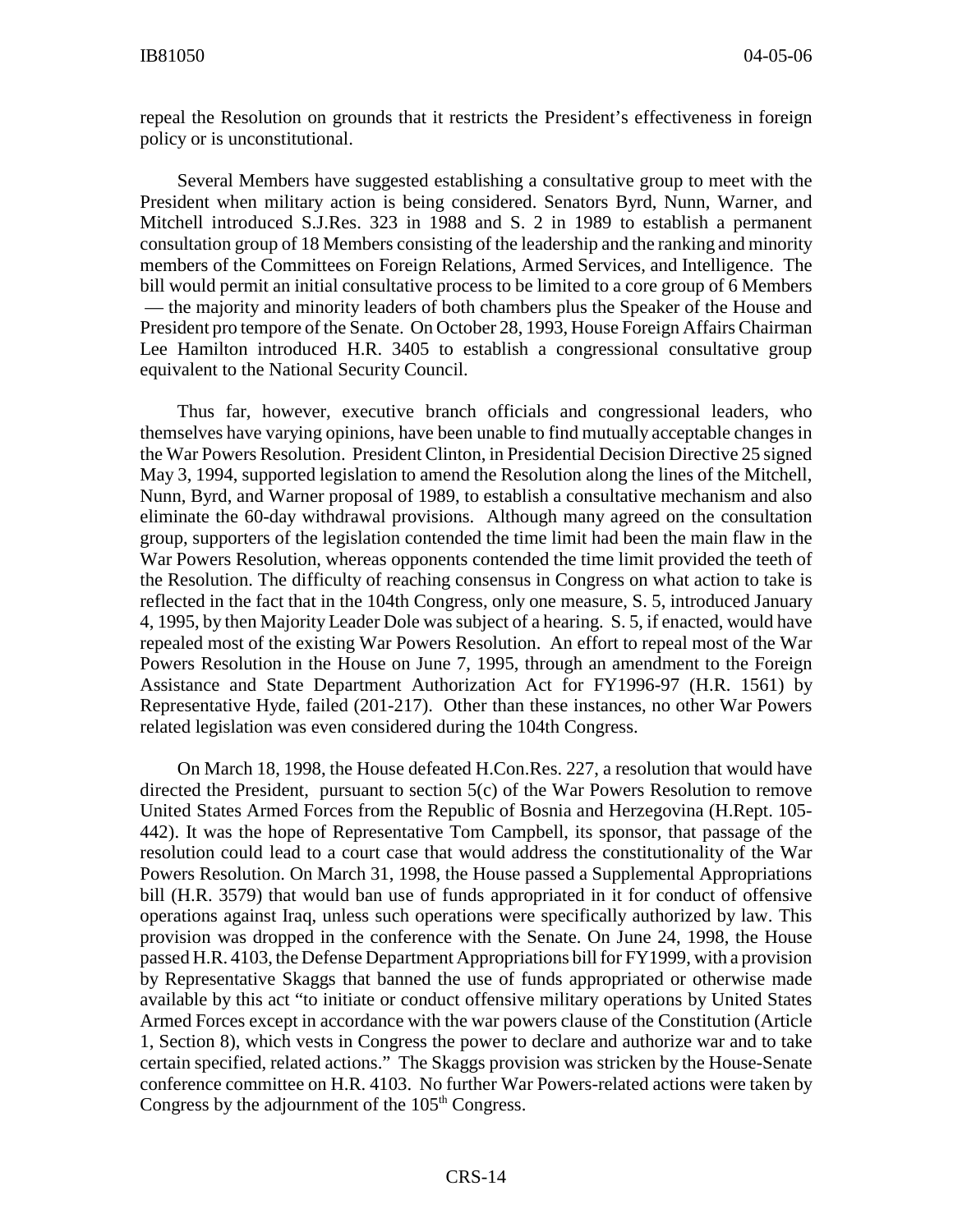repeal the Resolution on grounds that it restricts the President's effectiveness in foreign policy or is unconstitutional.

Several Members have suggested establishing a consultative group to meet with the President when military action is being considered. Senators Byrd, Nunn, Warner, and Mitchell introduced S.J.Res. 323 in 1988 and S. 2 in 1989 to establish a permanent consultation group of 18 Members consisting of the leadership and the ranking and minority members of the Committees on Foreign Relations, Armed Services, and Intelligence. The bill would permit an initial consultative process to be limited to a core group of 6 Members — the majority and minority leaders of both chambers plus the Speaker of the House and President pro tempore of the Senate. On October 28, 1993, House Foreign Affairs Chairman Lee Hamilton introduced H.R. 3405 to establish a congressional consultative group equivalent to the National Security Council.

Thus far, however, executive branch officials and congressional leaders, who themselves have varying opinions, have been unable to find mutually acceptable changes in the War Powers Resolution. President Clinton, in Presidential Decision Directive 25 signed May 3, 1994, supported legislation to amend the Resolution along the lines of the Mitchell, Nunn, Byrd, and Warner proposal of 1989, to establish a consultative mechanism and also eliminate the 60-day withdrawal provisions. Although many agreed on the consultation group, supporters of the legislation contended the time limit had been the main flaw in the War Powers Resolution, whereas opponents contended the time limit provided the teeth of the Resolution. The difficulty of reaching consensus in Congress on what action to take is reflected in the fact that in the 104th Congress, only one measure, S. 5, introduced January 4, 1995, by then Majority Leader Dole was subject of a hearing. S. 5, if enacted, would have repealed most of the existing War Powers Resolution. An effort to repeal most of the War Powers Resolution in the House on June 7, 1995, through an amendment to the Foreign Assistance and State Department Authorization Act for FY1996-97 (H.R. 1561) by Representative Hyde, failed (201-217). Other than these instances, no other War Powers related legislation was even considered during the 104th Congress.

On March 18, 1998, the House defeated H.Con.Res. 227, a resolution that would have directed the President, pursuant to section 5(c) of the War Powers Resolution to remove United States Armed Forces from the Republic of Bosnia and Herzegovina (H.Rept. 105- 442). It was the hope of Representative Tom Campbell, its sponsor, that passage of the resolution could lead to a court case that would address the constitutionality of the War Powers Resolution. On March 31, 1998, the House passed a Supplemental Appropriations bill (H.R. 3579) that would ban use of funds appropriated in it for conduct of offensive operations against Iraq, unless such operations were specifically authorized by law. This provision was dropped in the conference with the Senate. On June 24, 1998, the House passed H.R. 4103, the Defense Department Appropriations bill for FY1999, with a provision by Representative Skaggs that banned the use of funds appropriated or otherwise made available by this act "to initiate or conduct offensive military operations by United States Armed Forces except in accordance with the war powers clause of the Constitution (Article 1, Section 8), which vests in Congress the power to declare and authorize war and to take certain specified, related actions." The Skaggs provision was stricken by the House-Senate conference committee on H.R. 4103. No further War Powers-related actions were taken by Congress by the adjournment of the  $105<sup>th</sup>$  Congress.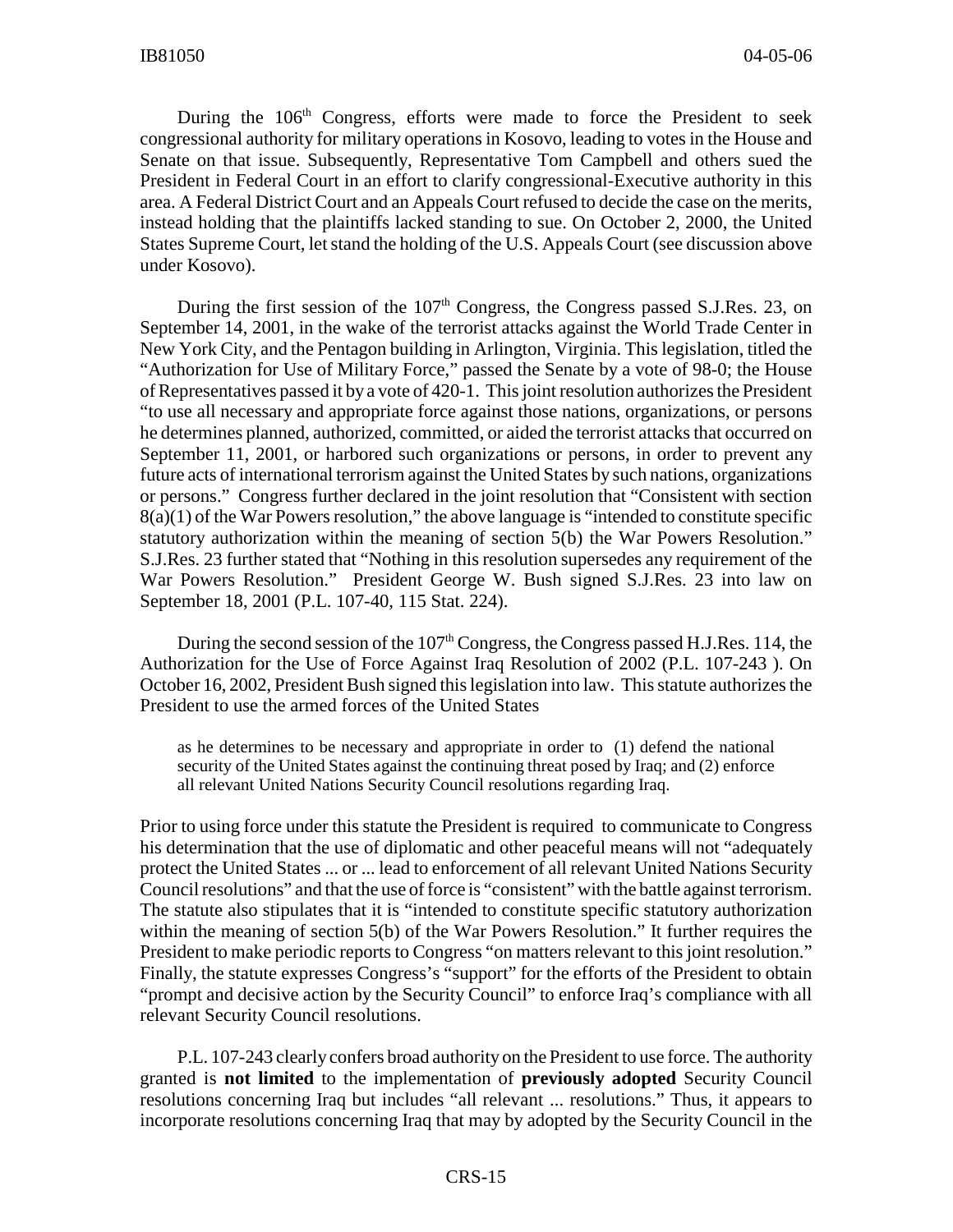During the  $106<sup>th</sup>$  Congress, efforts were made to force the President to seek congressional authority for military operations in Kosovo, leading to votes in the House and Senate on that issue. Subsequently, Representative Tom Campbell and others sued the President in Federal Court in an effort to clarify congressional-Executive authority in this area. A Federal District Court and an Appeals Court refused to decide the case on the merits, instead holding that the plaintiffs lacked standing to sue. On October 2, 2000, the United States Supreme Court, let stand the holding of the U.S. Appeals Court (see discussion above under Kosovo).

During the first session of the  $107<sup>th</sup>$  Congress, the Congress passed S.J.Res. 23, on September 14, 2001, in the wake of the terrorist attacks against the World Trade Center in New York City, and the Pentagon building in Arlington, Virginia. This legislation, titled the "Authorization for Use of Military Force," passed the Senate by a vote of 98-0; the House of Representatives passed it by a vote of 420-1. This joint resolution authorizes the President "to use all necessary and appropriate force against those nations, organizations, or persons he determines planned, authorized, committed, or aided the terrorist attacks that occurred on September 11, 2001, or harbored such organizations or persons, in order to prevent any future acts of international terrorism against the United States by such nations, organizations or persons." Congress further declared in the joint resolution that "Consistent with section 8(a)(1) of the War Powers resolution," the above language is "intended to constitute specific statutory authorization within the meaning of section 5(b) the War Powers Resolution." S.J.Res. 23 further stated that "Nothing in this resolution supersedes any requirement of the War Powers Resolution." President George W. Bush signed S.J.Res. 23 into law on September 18, 2001 (P.L. 107-40, 115 Stat. 224).

During the second session of the  $107<sup>th</sup>$  Congress, the Congress passed H.J.Res. 114, the Authorization for the Use of Force Against Iraq Resolution of 2002 (P.L. 107-243 ). On October 16, 2002, President Bush signed this legislation into law. This statute authorizes the President to use the armed forces of the United States

as he determines to be necessary and appropriate in order to (1) defend the national security of the United States against the continuing threat posed by Iraq; and (2) enforce all relevant United Nations Security Council resolutions regarding Iraq.

Prior to using force under this statute the President is required to communicate to Congress his determination that the use of diplomatic and other peaceful means will not "adequately protect the United States ... or ... lead to enforcement of all relevant United Nations Security Council resolutions" and that the use of force is "consistent" with the battle against terrorism. The statute also stipulates that it is "intended to constitute specific statutory authorization within the meaning of section 5(b) of the War Powers Resolution." It further requires the President to make periodic reports to Congress "on matters relevant to this joint resolution." Finally, the statute expresses Congress's "support" for the efforts of the President to obtain "prompt and decisive action by the Security Council" to enforce Iraq's compliance with all relevant Security Council resolutions.

P.L. 107-243 clearly confers broad authority on the President to use force. The authority granted is **not limited** to the implementation of **previously adopted** Security Council resolutions concerning Iraq but includes "all relevant ... resolutions." Thus, it appears to incorporate resolutions concerning Iraq that may by adopted by the Security Council in the